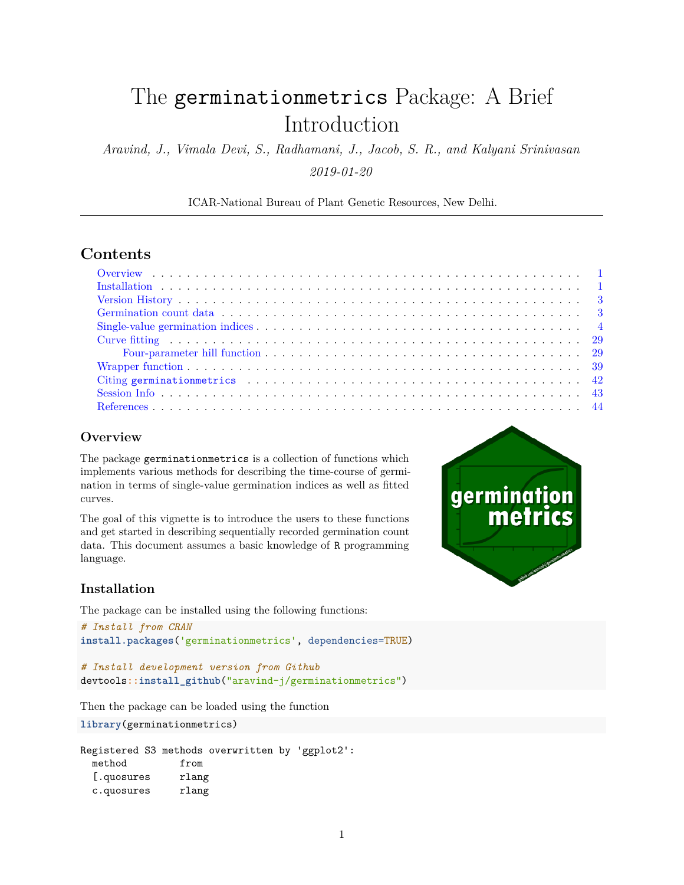# The germinationmetrics Package: A Brief Introduction

*Aravind, J., Vimala Devi, S., Radhamani, J., Jacob, S. R., and Kalyani Srinivasan 2019-01-20*

ICAR-National Bureau of Plant Genetic Resources, New Delhi.

# **Contents**

# <span id="page-0-0"></span>**Overview**

The package germinationmetrics is a collection of functions which implements various methods for describing the time-course of germination in terms of single-value germination indices as well as fitted curves.

The goal of this vignette is to introduce the users to these functions and get started in describing sequentially recorded germination count data. This document assumes a basic knowledge of R programming language.

# <span id="page-0-1"></span>**Installation**

The package can be installed using the following functions:

```
# Install from CRAN
install.packages('germinationmetrics', dependencies=TRUE)
```

```
# Install development version from Github
devtools::install_github("aravind-j/germinationmetrics")
```
Then the package can be loaded using the function

**library**(germinationmetrics)

Registered S3 methods overwritten by 'ggplot2': method from [.quosures rlang c.quosures rlang

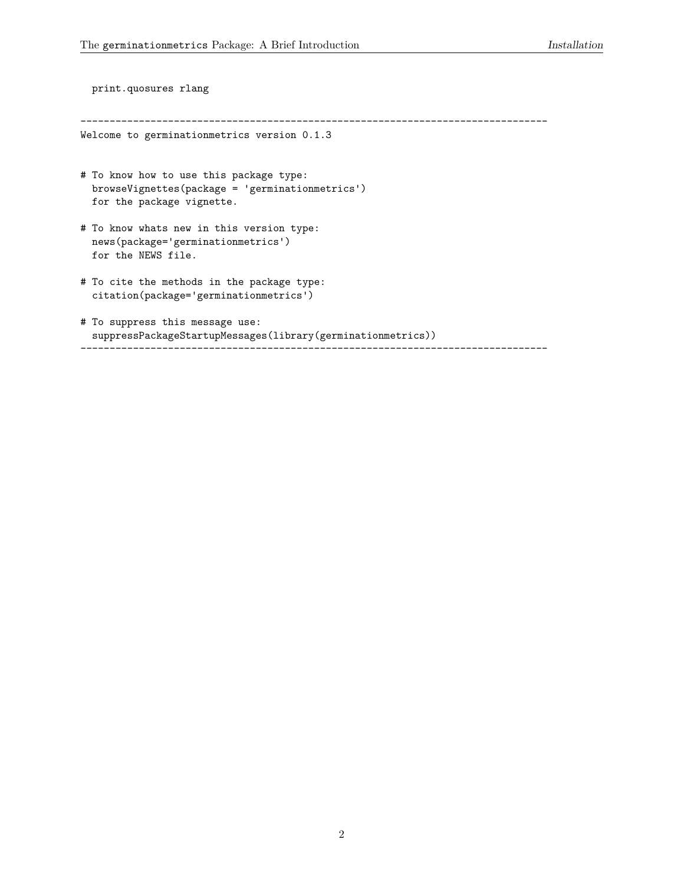```
print.quosures rlang
--------------------------------------------------------------------------------
Welcome to germinationmetrics version 0.1.3
# To know how to use this package type:
 browseVignettes(package = 'germinationmetrics')
  for the package vignette.
# To know whats new in this version type:
  news(package='germinationmetrics')
  for the NEWS file.
# To cite the methods in the package type:
  citation(package='germinationmetrics')
# To suppress this message use:
  suppressPackageStartupMessages(library(germinationmetrics))
--------------------------------------------------------------------------------
```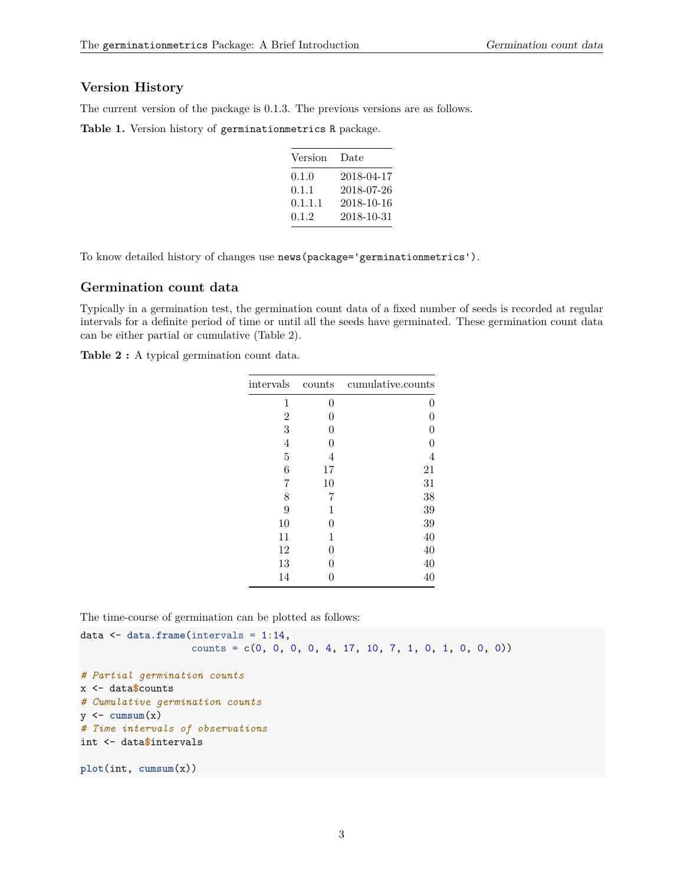# <span id="page-2-0"></span>**Version History**

The current version of the package is 0.1.3. The previous versions are as follows.

**Table 1.** Version history of germinationmetrics R package.

| Version | Date       |
|---------|------------|
| 0.1.0   | 2018-04-17 |
| 0.1.1   | 2018-07-26 |
| 0.1.1.1 | 2018-10-16 |
| 0.1.2   | 2018-10-31 |
|         |            |

To know detailed history of changes use news(package='germinationmetrics').

## <span id="page-2-1"></span>**Germination count data**

Typically in a germination test, the germination count data of a fixed number of seeds is recorded at regular intervals for a definite period of time or until all the seeds have germinated. These germination count data can be either partial or cumulative (Table 2).

**Table 2 :** A typical germination count data.

| intervals      | counts | cumulative.counts |
|----------------|--------|-------------------|
| 1              | 0      | 0                 |
| $\overline{2}$ | 0      | 0                 |
| 3              | 0      | 0                 |
| 4              | 0      | 0                 |
| 5              | 4      | 4                 |
| 6              | 17     | 21                |
| 7              | 10     | 31                |
| 8              | 7      | 38                |
| 9              | 1      | 39                |
| 10             | 0      | 39                |
| 11             | 1      | 40                |
| 12             | 0      | 40                |
| 13             | 0      | 40                |
| 14             | 0      | 40                |

The time-course of germination can be plotted as follows:

```
data <- data.frame(intervals = 1:14,
                    counts = c(0, 0, 0, 0, 4, 17, 10, 7, 1, 0, 1, 0, 0, 0))
# Partial germination counts
x <- data$counts
# Cumulative germination counts
y \leftarrow \text{cumsum}(x)# Time intervals of observations
int <- data$intervals
plot(int, cumsum(x))
```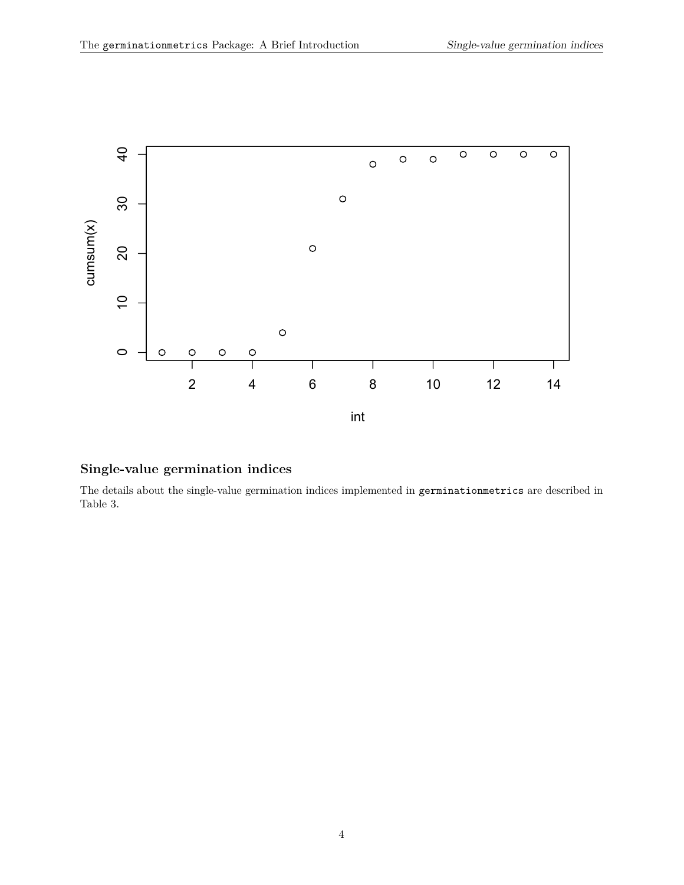

# <span id="page-3-0"></span>**Single-value germination indices**

The details about the single-value germination indices implemented in germinationmetrics are described in Table 3.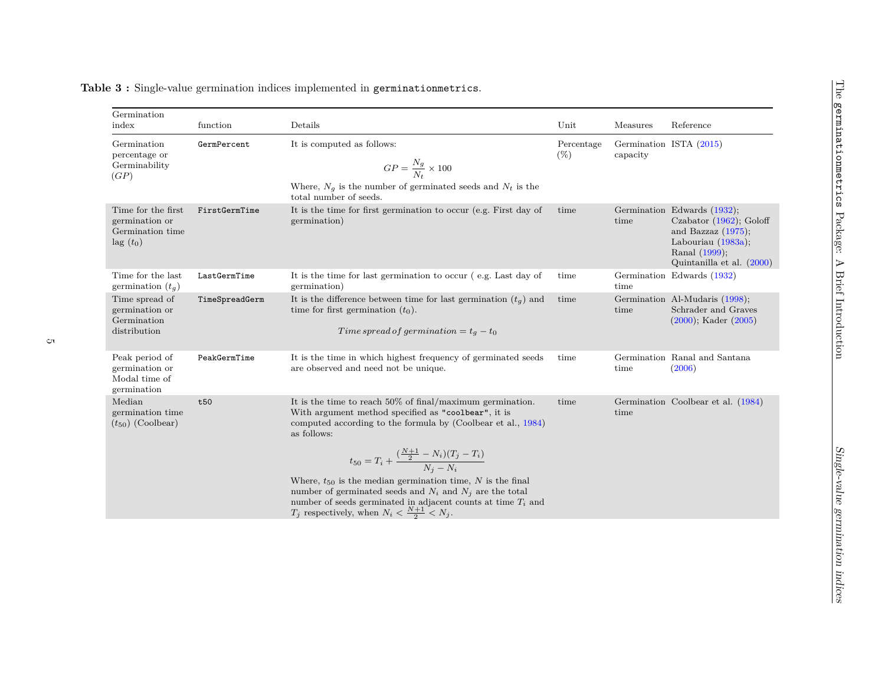| Germination<br>index                                                          | function       | Details                                                                                                                                                                                                                                                                                                                                                                                                                                                                                                                                    | Unit                 | Measures | Reference                                                                                                                                                 |
|-------------------------------------------------------------------------------|----------------|--------------------------------------------------------------------------------------------------------------------------------------------------------------------------------------------------------------------------------------------------------------------------------------------------------------------------------------------------------------------------------------------------------------------------------------------------------------------------------------------------------------------------------------------|----------------------|----------|-----------------------------------------------------------------------------------------------------------------------------------------------------------|
| Germination<br>percentage or<br>Germinability<br>(GP)                         | GermPercent    | It is computed as follows:<br>$GP = \frac{N_g}{N_c} \times 100$<br>Where, $N_g$ is the number of germinated seeds and $N_t$ is the<br>total number of seeds.                                                                                                                                                                                                                                                                                                                                                                               | Percentage<br>$(\%)$ | capacity | Germination ISTA (2015)                                                                                                                                   |
| Time for the first<br>germination or<br>Germination time<br>$\text{lag}(t_0)$ | FirstGermTime  | It is the time for first germination to occur (e.g. First day of<br>germination)                                                                                                                                                                                                                                                                                                                                                                                                                                                           | time                 | time     | Germination Edwards (1932);<br>Czabator $(1962)$ ; Goloff<br>and Bazzaz $(1975)$ ;<br>Labouriau $(1983a)$ ;<br>Ranal (1999);<br>Quintanilla et al. (2000) |
| Time for the last<br>germination $(t_q)$                                      | LastGermTime   | It is the time for last germination to occur (e.g. Last day of<br>germination)                                                                                                                                                                                                                                                                                                                                                                                                                                                             | time                 | time     | Germination Edwards (1932)                                                                                                                                |
| Time spread of<br>germination or<br>Germination<br>distribution               | TimeSpreadGerm | It is the difference between time for last germination $(t_q)$ and<br>time for first germination $(t_0)$ .<br>Time spread of germination = $t_g - t_0$                                                                                                                                                                                                                                                                                                                                                                                     | time                 | time     | Germination Al-Mudaris (1998);<br>Schrader and Graves<br>$(2000)$ ; Kader $(2005)$                                                                        |
| Peak period of<br>germination or<br>Modal time of<br>germination              | PeakGermTime   | It is the time in which highest frequency of germinated seeds<br>are observed and need not be unique.                                                                                                                                                                                                                                                                                                                                                                                                                                      | time                 | time     | Germination Ranal and Santana<br>(2006)                                                                                                                   |
| Median<br>germination time<br>$(t_{50})$ (Coolbear)                           | t50            | It is the time to reach $50\%$ of final/maximum germination.<br>With argument method specified as "coolbear", it is<br>computed according to the formula by (Coolbear et al., 1984)<br>as follows:<br>$t_{50} = T_i + \frac{(\frac{N+1}{2} - N_i)(T_j - T_i)}{N_i - N_i}$<br>Where, $t_{50}$ is the median germination time, $N$ is the final<br>number of germinated seeds and $N_i$ and $N_j$ are the total<br>number of seeds germinated in adjacent counts at time $T_i$ and<br>$T_j$ respectively, when $N_i < \frac{N+1}{2} < N_j$ . | time                 | time     | Germination Coolbear et al. (1984)                                                                                                                        |

**Table 3 :** Single-value germination indices implemented in germinationmetrics.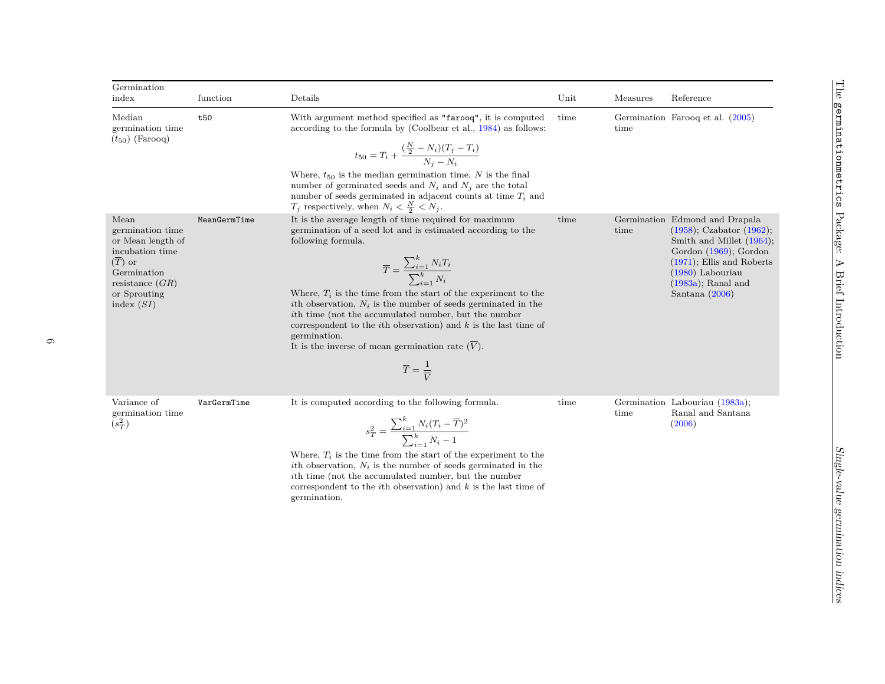| Germination<br>index                                                                                                                                        | function     | Details                                                                                                                                                                                                                                                                                                                                                                                                                                                                                                                                                                                                   | Unit | Measures | Reference                                                                                                                                                                                                                   |
|-------------------------------------------------------------------------------------------------------------------------------------------------------------|--------------|-----------------------------------------------------------------------------------------------------------------------------------------------------------------------------------------------------------------------------------------------------------------------------------------------------------------------------------------------------------------------------------------------------------------------------------------------------------------------------------------------------------------------------------------------------------------------------------------------------------|------|----------|-----------------------------------------------------------------------------------------------------------------------------------------------------------------------------------------------------------------------------|
| Median<br>germination time<br>$(t_{50})$ (Farooq)                                                                                                           | t50          | With argument method specified as "farooq", it is computed<br>according to the formula by (Coolbear et al., $1984$ ) as follows:<br>$t_{50} = T_i + \frac{(\frac{N}{2} - N_i)(T_j - T_i)}{N_i - N_i}$<br>Where, $t_{50}$ is the median germination time, N is the final<br>number of germinated seeds and $N_i$ and $N_j$ are the total<br>number of seeds germinated in adjacent counts at time $T_i$ and<br>$T_j$ respectively, when $N_i < \frac{N}{2} < N_j$ .                                                                                                                                        | time | time     | Germination Farooq et al. (2005)                                                                                                                                                                                            |
| Mean<br>germination time<br>or Mean length of<br>incubation time<br>$(\overline{T})$ or<br>Germination<br>resistance $(GR)$<br>or Sprouting<br>index $(SI)$ | MeanGermTime | It is the average length of time required for maximum<br>germination of a seed lot and is estimated according to the<br>following formula.<br>$\overline{T} = \frac{\sum_{i=1}^k N_i T_i}{\sum_{i=1}^k N_i}$<br>Where, $T_i$ is the time from the start of the experiment to the<br>ith observation, $N_i$ is the number of seeds germinated in the<br>ith time (not the accumulated number, but the number<br>correspondent to the <i>i</i> th observation) and $k$ is the last time of<br>germination.<br>It is the inverse of mean germination rate $(V)$ .<br>$\overline{T} = \frac{1}{\overline{V}}$ | time | time     | Germination Edmond and Drapala<br>$(1958)$ ; Czabator $(1962)$ ;<br>Smith and Millet (1964);<br>Gordon $(1969)$ ; Gordon<br>$(1971)$ ; Ellis and Roberts<br>$(1980)$ Labouriau<br>$(1983a)$ ; Ranal and<br>Santana $(2006)$ |
| Variance of<br>germination time<br>$(s_T^2)$                                                                                                                | VarGermTime  | It is computed according to the following formula.<br>$\sum_{i=1}^k N_i (T_i - \overline{T})^2$                                                                                                                                                                                                                                                                                                                                                                                                                                                                                                           | time | time     | Germination Labouriau (1983a);<br>Ranal and Santana<br>(2006)                                                                                                                                                               |

 $s_T^2 = \frac{\sum_{i=1}^k N_i (T_i - \overline{T})^2}{\sum_{i=1}^k N_i - 1}$ Where, *T<sup>i</sup>* is the time from the start of the experiment to the *i*th observation, *N<sup>i</sup>* is the number of seeds germinated in the *i*th time (not the accumulated number, but the number correspondent to the *i*th observation) and *k* is the last time of germination.

 $(s_T^2)$ 

Mean

The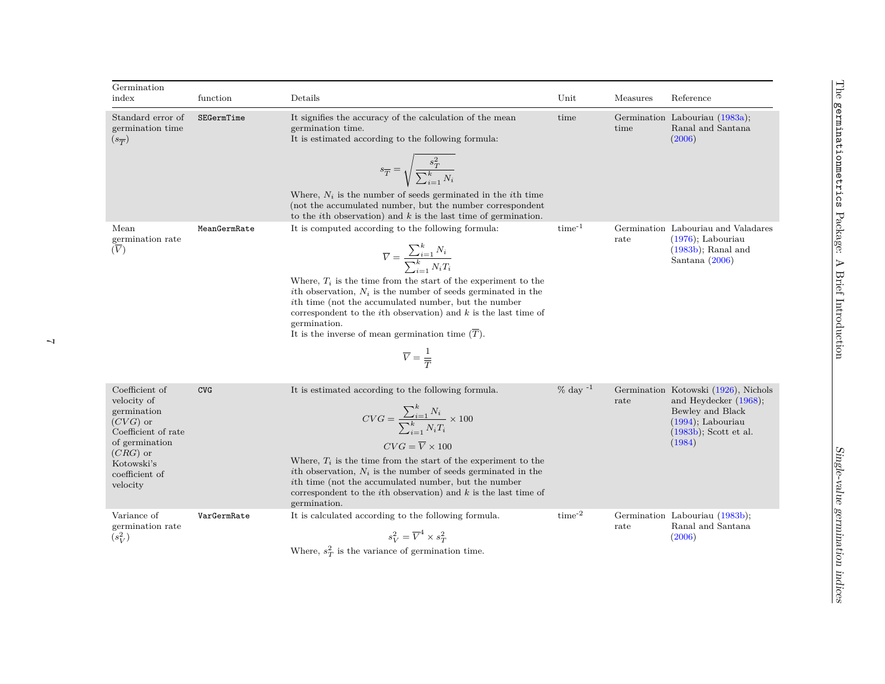| Germination<br>index                                                                                                                                          | function     | Details                                                                                                                                                                                                                                                                                                                                                                                                                                                                                                                      | Unit             | Measures | Reference                                                                                                                                          |
|---------------------------------------------------------------------------------------------------------------------------------------------------------------|--------------|------------------------------------------------------------------------------------------------------------------------------------------------------------------------------------------------------------------------------------------------------------------------------------------------------------------------------------------------------------------------------------------------------------------------------------------------------------------------------------------------------------------------------|------------------|----------|----------------------------------------------------------------------------------------------------------------------------------------------------|
|                                                                                                                                                               |              |                                                                                                                                                                                                                                                                                                                                                                                                                                                                                                                              |                  |          |                                                                                                                                                    |
| Standard error of<br>germination time<br>$(s_{\overline{T}})$                                                                                                 | SEGermTime   | It signifies the accuracy of the calculation of the mean<br>germination time.<br>It is estimated according to the following formula:                                                                                                                                                                                                                                                                                                                                                                                         | time             | time     | Germination Labouriau (1983a);<br>Ranal and Santana<br>(2006)                                                                                      |
|                                                                                                                                                               |              | $s_{\overline{T}} = \sqrt{\frac{s_T^2}{\sum_{i=1}^k N_i}}$                                                                                                                                                                                                                                                                                                                                                                                                                                                                   |                  |          |                                                                                                                                                    |
|                                                                                                                                                               |              | Where, $N_i$ is the number of seeds germinated in the <i>i</i> th time<br>(not the accumulated number, but the number correspondent<br>to the <i>i</i> th observation) and $k$ is the last time of germination.                                                                                                                                                                                                                                                                                                              |                  |          |                                                                                                                                                    |
| Mean<br>germination rate<br>(V)                                                                                                                               | MeanGermRate | It is computed according to the following formula:<br>$\overline{V} = \frac{\sum_{i=1}^{k} N_i}{\sum_{i=1}^{k} N_i T_i}$<br>Where, $T_i$ is the time from the start of the experiment to the<br>ith observation, $N_i$ is the number of seeds germinated in the<br><i>ith</i> time (not the accumulated number, but the number<br>correspondent to the <i>i</i> th observation) and $k$ is the last time of<br>germination.<br>It is the inverse of mean germination time $(T)$ .<br>$\overline{V} = \frac{1}{\overline{T}}$ | $time^{-1}$      | rate     | Germination Labouriau and Valadares<br>$(1976)$ ; Labouriau<br>$(1983b)$ ; Ranal and<br>Santana $(2006)$                                           |
| Coefficient of<br>velocity of<br>germination<br>$(CVG)$ or<br>Coefficient of rate<br>of germination<br>$(CRG)$ or<br>Kotowski's<br>coefficient of<br>velocity | <b>CVG</b>   | It is estimated according to the following formula.<br>$CVG = \frac{\sum_{i=1}^{k} N_i}{\sum_{i=1}^{k} N_i T_i} \times 100$<br>$CVG = \overline{V} \times 100$<br>Where, $T_i$ is the time from the start of the experiment to the<br>ith observation, $N_i$ is the number of seeds germinated in the<br><i>i</i> th time (not the accumulated number, but the number<br>correspondent to the <i>i</i> th observation) and $k$ is the last time of<br>germination.                                                           | $\%$ day $^{-1}$ | rate     | Germination Kotowski (1926), Nichols<br>and Heydecker $(1968)$ ;<br>Bewley and Black<br>$(1994)$ ; Labouriau<br>$(1983b)$ ; Scott et al.<br>(1984) |
| Variance of<br>germination rate<br>$(s_V^2)$                                                                                                                  | VarGermRate  | It is calculated according to the following formula.<br>$s_V^2 = \overline{V}^4 \times s_T^2$<br>$2 + 1$ $1$                                                                                                                                                                                                                                                                                                                                                                                                                 | $time^{-2}$      | rate     | Germination Labouriau (1983b);<br>Ranal and Santana<br>(2006)                                                                                      |

Where,  $s_T^2$  is the variance of germination time.

 $\rightarrow$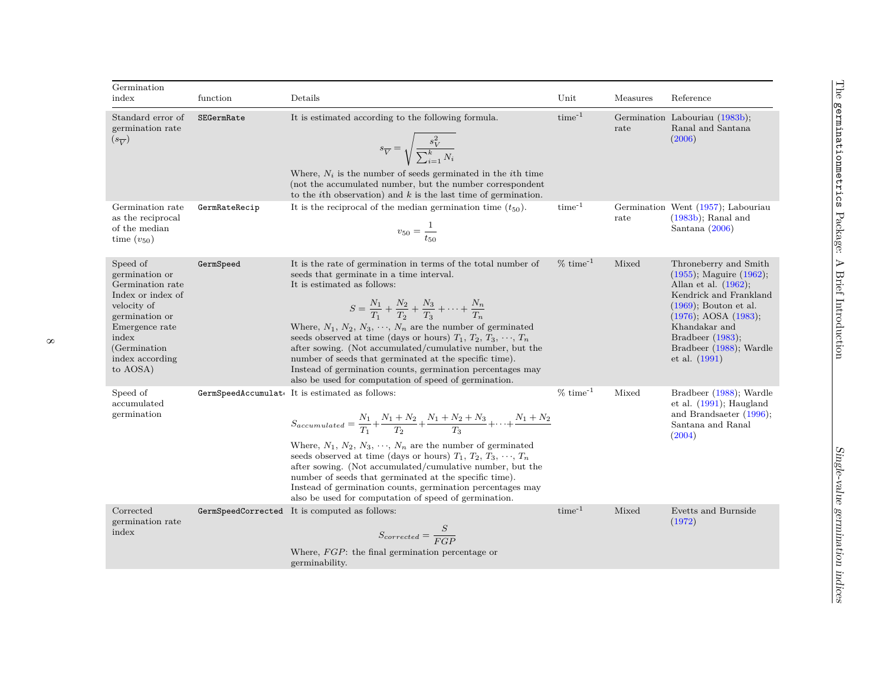| Germination<br>index                                                                                                                                                            | function      | Details                                                                                                                                                                                                                                                                                                                                                                                                                                                                                                                                                                                                                   | Unit          | Measures            | Reference                                                                                                                                                                                                                                                 |
|---------------------------------------------------------------------------------------------------------------------------------------------------------------------------------|---------------|---------------------------------------------------------------------------------------------------------------------------------------------------------------------------------------------------------------------------------------------------------------------------------------------------------------------------------------------------------------------------------------------------------------------------------------------------------------------------------------------------------------------------------------------------------------------------------------------------------------------------|---------------|---------------------|-----------------------------------------------------------------------------------------------------------------------------------------------------------------------------------------------------------------------------------------------------------|
|                                                                                                                                                                                 |               |                                                                                                                                                                                                                                                                                                                                                                                                                                                                                                                                                                                                                           |               |                     |                                                                                                                                                                                                                                                           |
| Standard error of<br>germination rate<br>$(s_{\overline{V}})$                                                                                                                   | SEGermRate    | It is estimated according to the following formula.<br>$s_{\overline{V}} = \sqrt{\frac{s_{V}^{2}}{\sum_{i=1}^{k} N_{i}}}$<br>Where, $N_i$ is the number of seeds germinated in the <i>i</i> th time<br>(not the accumulated number, but the number correspondent<br>to the <i>i</i> th observation) and $k$ is the last time of germination.                                                                                                                                                                                                                                                                              | $time^{-1}$   | rate                | Germination Labouriau (1983b);<br>Ranal and Santana<br>(2006)                                                                                                                                                                                             |
| Germination rate<br>as the reciprocal<br>of the median<br>time $(v_{50})$                                                                                                       | GermRateRecip | It is the reciprocal of the median germination time $(t_{50})$ .<br>$v_{50} = \frac{1}{t_{50}}$                                                                                                                                                                                                                                                                                                                                                                                                                                                                                                                           | $time^{-1}$   | Germination<br>rate | Went (1957); Labouriau<br>$(1983b)$ ; Ranal and<br>Santana $(2006)$                                                                                                                                                                                       |
| Speed of<br>germination or<br>Germination rate<br>Index or index of<br>velocity of<br>germination or<br>Emergence rate<br>index<br>(Germination)<br>index according<br>to AOSA) | GermSpeed     | It is the rate of germination in terms of the total number of<br>seeds that germinate in a time interval.<br>It is estimated as follows:<br>$S = \frac{N_1}{T_1} + \frac{N_2}{T_2} + \frac{N_3}{T_3} + \cdots + \frac{N_n}{T_n}$<br>Where, $N_1, N_2, N_3, \cdots, N_n$ are the number of germinated<br>seeds observed at time (days or hours) $T_1, T_2, T_3, \cdots, T_n$<br>after sowing. (Not accumulated/cumulative number, but the<br>number of seeds that germinated at the specific time).<br>Instead of germination counts, germination percentages may<br>also be used for computation of speed of germination. | $% time^{-1}$ | Mixed               | Throneberry and Smith<br>$(1955)$ ; Maguire $(1962)$ ;<br>Allan et al. $(1962)$ ,<br>Kendrick and Frankland<br>$(1969)$ . Bouton et al.<br>$(1976)$ ; AOSA $(1983)$ ;<br>Khandakar and<br>Bradbeer $(1983)$ ,<br>Bradbeer (1988), Wardle<br>et al. (1991) |
| Speed of<br>accumulated<br>germination                                                                                                                                          |               | GermSpeedAccumulat It is estimated as follows:<br>$S_{accumulated} = \frac{N_1}{T_1} + \frac{N_1 + N_2}{T_2} + \frac{N_1 + N_2 + N_3}{T_3} + \cdots + \frac{N_1 + N_2}{T_3}$<br>Where, $N_1, N_2, N_3, \dots, N_n$ are the number of germinated<br>seeds observed at time (days or hours) $T_1, T_2, T_3, \cdots, T_n$<br>after sowing. (Not accumulated/cumulative number, but the<br>number of seeds that germinated at the specific time).<br>Instead of germination counts, germination percentages may<br>also be used for computation of speed of germination.                                                      | $%time^{-1}$  | Mixed               | Bradbeer (1988); Wardle<br>et al. $(1991)$ ; Haugland<br>and Brandsaeter $(1996)$ ;<br>Santana and Ranal<br>(2004)                                                                                                                                        |
| Corrected<br>germination rate<br>index                                                                                                                                          |               | GermSpeedCorrected It is computed as follows:<br>$S_{corrected} = \frac{S}{ECD}$<br>Where, $FGP$ : the final germination percentage or<br>germinability.                                                                                                                                                                                                                                                                                                                                                                                                                                                                  | $time^{-1}$   | Mixed               | Evetts and Burnside<br>(1972)                                                                                                                                                                                                                             |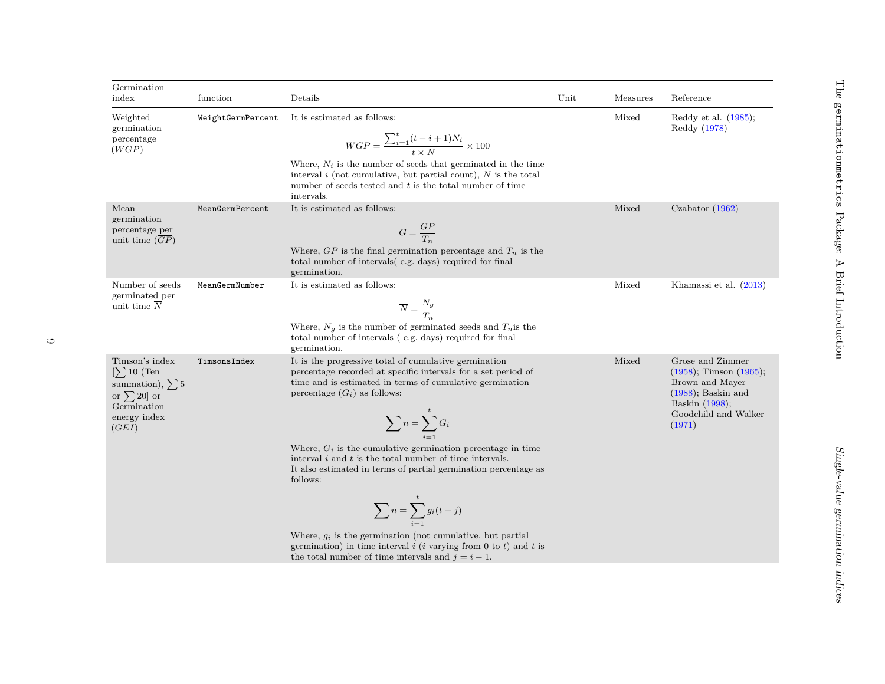| Germination<br>index                                                                                                  | function          | Details                                                                                                                                                                                                                                                                                                                                                                                                                                                                                                                                                                                                                                                                                | Unit | Measures | Reference                                                                                                                                        |
|-----------------------------------------------------------------------------------------------------------------------|-------------------|----------------------------------------------------------------------------------------------------------------------------------------------------------------------------------------------------------------------------------------------------------------------------------------------------------------------------------------------------------------------------------------------------------------------------------------------------------------------------------------------------------------------------------------------------------------------------------------------------------------------------------------------------------------------------------------|------|----------|--------------------------------------------------------------------------------------------------------------------------------------------------|
| Weighted<br>germination<br>percentage<br>(WGP)                                                                        | WeightGermPercent | It is estimated as follows:<br>$WGP = \frac{\sum_{i=1}^{t} (t-i+1)N_i}{t \times N} \times 100$<br>Where, $N_i$ is the number of seeds that germinated in the time<br>interval $i$ (not cumulative, but partial count), $N$ is the total<br>number of seeds tested and $t$ is the total number of time<br>intervals.                                                                                                                                                                                                                                                                                                                                                                    |      | Mixed    | Reddy et al. $(1985)$ ;<br>Reddy (1978)                                                                                                          |
| Mean<br>germination<br>percentage per<br>unit time $(GP)$                                                             | MeanGermPercent   | It is estimated as follows:<br>$\overline{G} = \frac{GP}{T_r}$<br>Where, $GP$ is the final germination percentage and $T_n$ is the<br>total number of intervals (e.g. days) required for final<br>germination.                                                                                                                                                                                                                                                                                                                                                                                                                                                                         |      | Mixed    | Czabator $(1962)$                                                                                                                                |
| Number of seeds<br>germinated per<br>unit time $\overline{N}$                                                         | MeanGermNumber    | It is estimated as follows:<br>$\overline{N} = \frac{N_g}{T_s}$<br>Where, $N_g$ is the number of germinated seeds and $T_n$ is the<br>total number of intervals (e.g. days) required for final<br>germination.                                                                                                                                                                                                                                                                                                                                                                                                                                                                         |      | Mixed    | Khamassi et al. (2013)                                                                                                                           |
| Timson's index<br>$[\sum 10$ (Ten<br>summation), $\sum 5$<br>or $\sum 20]$ or<br>Germination<br>energy index<br>(GEI) | TimsonsIndex      | It is the progressive total of cumulative germination<br>percentage recorded at specific intervals for a set period of<br>time and is estimated in terms of cumulative germination<br>percentage $(G_i)$ as follows:<br>$\sum_{i=1}^{n} G_i$<br>Where, $G_i$ is the cumulative germination percentage in time<br>interval $i$ and $t$ is the total number of time intervals.<br>It also estimated in terms of partial germination percentage as<br>follows:<br>$\sum_{i=1}^{t} g_i(t-j)$<br>Where, $g_i$ is the germination (not cumulative, but partial<br>germination) in time interval $i$ (i varying from 0 to t) and t is<br>the total number of time intervals and $j = i - 1$ . |      | Mixed    | Grose and Zimmer<br>$(1958)$ ; Timson $(1965)$ ;<br>Brown and Mayer<br>$(1988)$ ; Baskin and<br>Baskin (1998);<br>Goodchild and Walker<br>(1971) |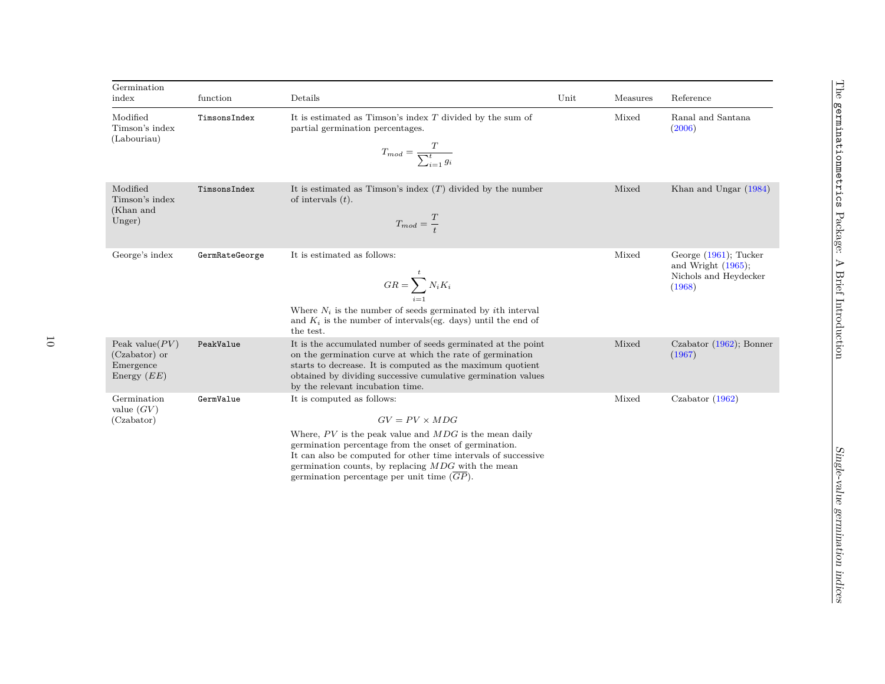| Germination<br>index                                             | function       | Details                                                                                                                                                                                                                                                                                                                                                        | Unit | Measures | Reference                                                                            |
|------------------------------------------------------------------|----------------|----------------------------------------------------------------------------------------------------------------------------------------------------------------------------------------------------------------------------------------------------------------------------------------------------------------------------------------------------------------|------|----------|--------------------------------------------------------------------------------------|
| Modified<br>Timson's index<br>(Labouriau)                        | TimsonsIndex   | It is estimated as Timson's index $T$ divided by the sum of<br>partial germination percentages.<br>$T_{mod} = \frac{T}{\sum_{i=1}^{t} g_i}$                                                                                                                                                                                                                    |      | Mixed    | Ranal and Santana<br>(2006)                                                          |
| Modified<br>Timson's index<br>(Khan and<br>Unger)                | TimsonsIndex   | It is estimated as Timson's index $(T)$ divided by the number<br>of intervals $(t)$ .<br>$T_{mod} = \frac{T}{t}$                                                                                                                                                                                                                                               |      | Mixed    | Khan and Ungar (1984)                                                                |
| George's index                                                   | GermRateGeorge | It is estimated as follows:<br>$GR = \sum_{i=1}^{k} N_i K_i$<br>Where $N_i$ is the number of seeds germinated by <i>i</i> th interval<br>and $K_i$ is the number of intervals(eg. days) until the end of<br>the test.                                                                                                                                          |      | Mixed    | George $(1961)$ ; Tucker<br>and Wright $(1965)$ ;<br>Nichols and Heydecker<br>(1968) |
| Peak value $(PV)$<br>(Czabator) or<br>Emergence<br>Energy $(EE)$ | PeakValue      | It is the accumulated number of seeds germinated at the point<br>on the germination curve at which the rate of germination<br>starts to decrease. It is computed as the maximum quotient<br>obtained by dividing successive cumulative germination values<br>by the relevant incubation time.                                                                  |      | Mixed    | Czabator $(1962)$ ; Bonner<br>(1967)                                                 |
| Germination<br>value $(GV)$<br>(Czabator)                        | GermValue      | It is computed as follows:<br>$GV = PV \times MDG$<br>Where, $PV$ is the peak value and $MDG$ is the mean daily<br>germination percentage from the onset of germination.<br>It can also be computed for other time intervals of successive<br>germination counts, by replacing $MDG$ with the mean<br>germination percentage per unit time $\overline{(GP)}$ . |      | Mixed    | Czabator $(1962)$                                                                    |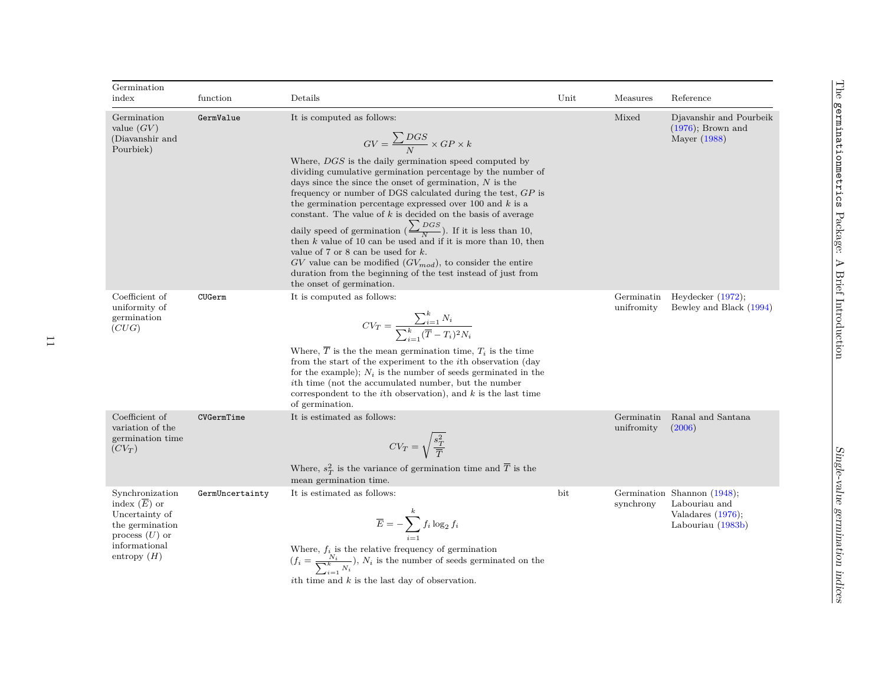| Germination<br>index                                                                                                         | function        | Details                                                                                                                                                                                                                                                                                                                                                                                                                                                                                                                                                                                                                                                                                                                                                                                                                            | Unit | Measures                 | Reference                                                                        |
|------------------------------------------------------------------------------------------------------------------------------|-----------------|------------------------------------------------------------------------------------------------------------------------------------------------------------------------------------------------------------------------------------------------------------------------------------------------------------------------------------------------------------------------------------------------------------------------------------------------------------------------------------------------------------------------------------------------------------------------------------------------------------------------------------------------------------------------------------------------------------------------------------------------------------------------------------------------------------------------------------|------|--------------------------|----------------------------------------------------------------------------------|
| Germination<br>value $(GV)$<br>(Diavanshir and<br>Pourbiek)                                                                  | GermValue       | It is computed as follows:<br>$GV = \frac{\sum DGS}{N} \times GP \times k$<br>Where, DGS is the daily germination speed computed by<br>dividing cumulative germination percentage by the number of<br>days since the since the onset of germination, $N$ is the<br>frequency or number of DGS calculated during the test, $GP$ is<br>the germination percentage expressed over 100 and $k$ is a<br>constant. The value of $k$ is decided on the basis of average<br>daily speed of germination $\left(\frac{\sum DGS}{N}\right)$ . If it is less than 10, then k value of 10 can be used and if it is more than 10, then<br>value of 7 or 8 can be used for $k$ .<br>$GV$ value can be modified $(GV_{mod})$ , to consider the entire<br>duration from the beginning of the test instead of just from<br>the onset of germination. |      | Mixed                    | Djavanshir and Pourbeik<br>$(1976)$ ; Brown and<br>Mayer (1988)                  |
| Coefficient of<br>uniformity of<br>germination<br>(CUG)                                                                      | CUGerm          | It is computed as follows:<br>$CV_T = \frac{\sum_{i=1}^{k} N_i}{\sum_{i=1}^{k} (\overline{T} - T_i)^2 N_i}$<br>Where, $\overline{T}$ is the the mean germination time, $T_i$ is the time<br>from the start of the experiment to the <i>i</i> th observation (day<br>for the example); $N_i$ is the number of seeds germinated in the<br><i>ith</i> time (not the accumulated number, but the number<br>correspondent to the <i>i</i> th observation), and $k$ is the last time<br>of germination.                                                                                                                                                                                                                                                                                                                                  |      | Germinatin<br>unifromity | Heydecker $(1972)$ ;<br>Bewley and Black (1994)                                  |
| Coefficient of<br>variation of the<br>germination time<br>$(CV_T)$                                                           | CVGermTime      | It is estimated as follows:<br>$CV_T = \sqrt{\frac{s_T^2}{\overline{T}}}$<br>Where, $s_T^2$ is the variance of germination time and $\overline{T}$ is the<br>mean germination time.                                                                                                                                                                                                                                                                                                                                                                                                                                                                                                                                                                                                                                                |      | Germinatin<br>unifromity | Ranal and Santana<br>(2006)                                                      |
| Synchronization<br>index $(E)$ or<br>Uncertainty of<br>the germination<br>process $(U)$ or<br>informational<br>entropy $(H)$ | GermUncertainty | It is estimated as follows:<br>$\overline{E} = -\sum_{i=1}^k f_i \log_2 f_i$<br>Where, $f_i$ is the relative frequency of germination<br>$(f_i = \frac{N_i}{\sum_{i=1}^k N_i}), N_i$ is the number of seeds germinated on the<br>ith time and $k$ is the last day of observation.                                                                                                                                                                                                                                                                                                                                                                                                                                                                                                                                                  | bit  | Germination<br>synchrony | Shannon $(1948)$ ;<br>Labouriau and<br>Valadares $(1976)$ ;<br>Labouriau (1983b) |

germinationmetrics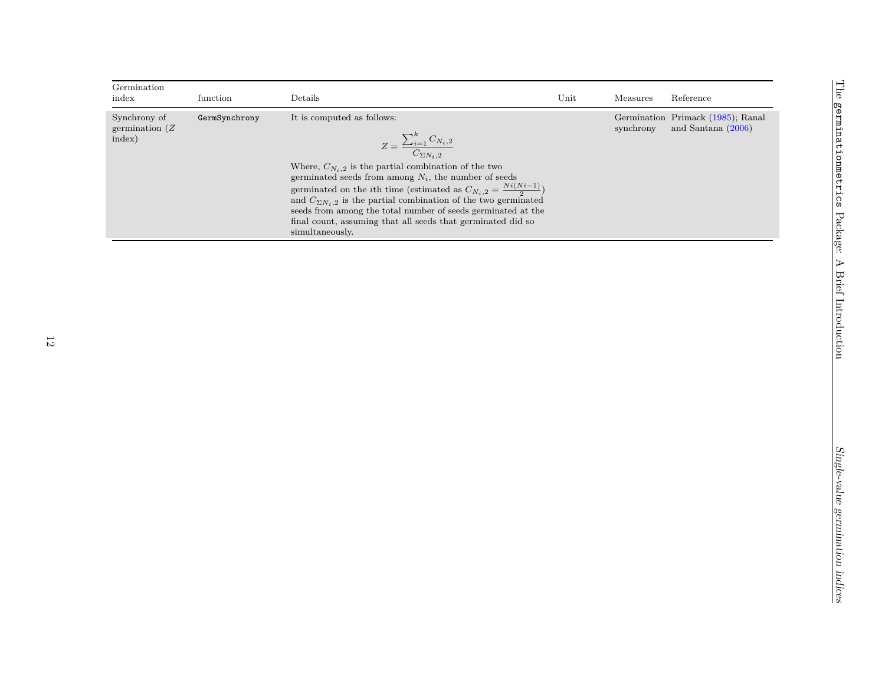| Germination<br>index                        | function      | Details                                                                                                                                                                                                                                                                                                                                                                                                                                                                                                                         | Unit | Measures  | Reference                                                 |
|---------------------------------------------|---------------|---------------------------------------------------------------------------------------------------------------------------------------------------------------------------------------------------------------------------------------------------------------------------------------------------------------------------------------------------------------------------------------------------------------------------------------------------------------------------------------------------------------------------------|------|-----------|-----------------------------------------------------------|
| Synchrony of<br>germination $(Z)$<br>index) | GermSynchrony | It is computed as follows:<br>$Z = \frac{\sum_{i=1}^{k} C_{N_i,2}}{C_{\sum N_i,2}}$<br>Where, $C_{N_i,2}$ is the partial combination of the two<br>germinated seeds from among $N_i$ , the number of seeds<br>germinated on the <i>i</i> th time (estimated as $C_{N_i,2} = \frac{Ni(N_i-1)}{2}$ )<br>and $C_{\Sigma N_i,2}$ is the partial combination of the two germinated<br>seeds from among the total number of seeds germinated at the<br>final count, assuming that all seeds that germinated did so<br>simultaneously. |      | synchrony | Germination Primack (1985); Ranal<br>and Santana $(2006)$ |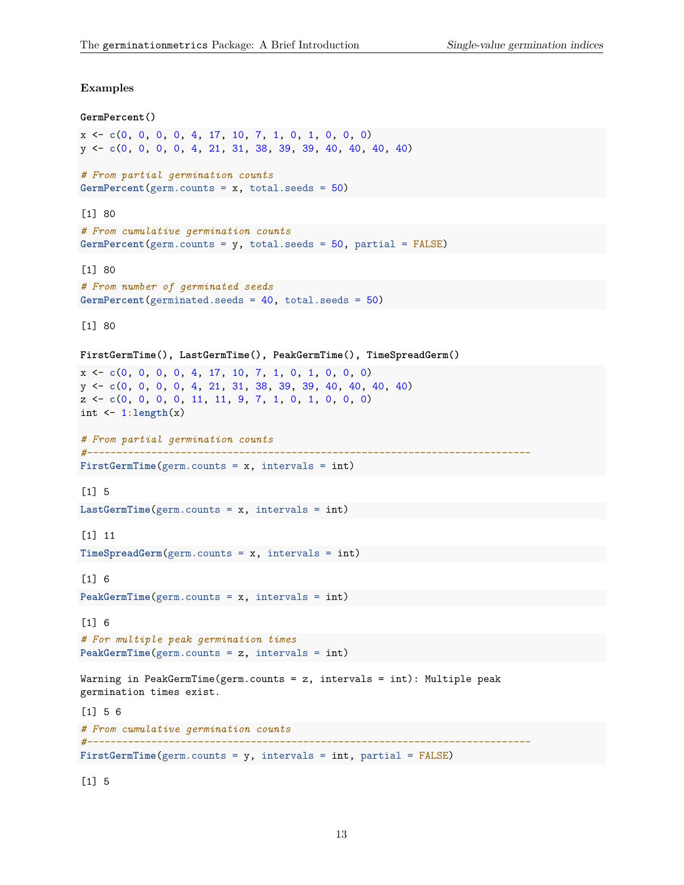#### **Examples**

```
GermPercent()
x <- c(0, 0, 0, 0, 4, 17, 10, 7, 1, 0, 1, 0, 0, 0)
y <- c(0, 0, 0, 0, 4, 21, 31, 38, 39, 39, 40, 40, 40, 40)
# From partial germination counts
GermPercent(germ.counts = x, total.seeds = 50)
[1] 80
# From cumulative germination counts
GermPercent(germ.counts = y, total.seeds = 50, partial = FALSE)
[1] 80
# From number of germinated seeds
GermPercent(germinated.seeds = 40, total.seeds = 50)
[1] 80
FirstGermTime(), LastGermTime(), PeakGermTime(), TimeSpreadGerm()
x <- c(0, 0, 0, 0, 4, 17, 10, 7, 1, 0, 1, 0, 0, 0)
y <- c(0, 0, 0, 0, 4, 21, 31, 38, 39, 39, 40, 40, 40, 40)
z <- c(0, 0, 0, 0, 11, 11, 9, 7, 1, 0, 1, 0, 0, 0)
int <- 1:length(x)
# From partial germination counts
#----------------------------------------------------------------------------
FirstGermTime(germ.counts = x, intervals = int)
[1] 5
LastGermTime(germ.counts = x, intervals = int)
[1] 11
TimeSpreadGerm(germ.counts = x, intervals = int)
[1] 6
PeakGermTime(germ.counts = x, intervals = int)
[1] 6
# For multiple peak germination times
PeakGermTime(germ.counts = z, intervals = int)
Warning in PeakGermTime(germ.counts = z, intervals = int): Multiple peak
germination times exist.
[1] 5 6
# From cumulative germination counts
#----------------------------------------------------------------------------
FirstGermTime(germ.counts = y, intervals = int, partial = FALSE)
```
[1] 5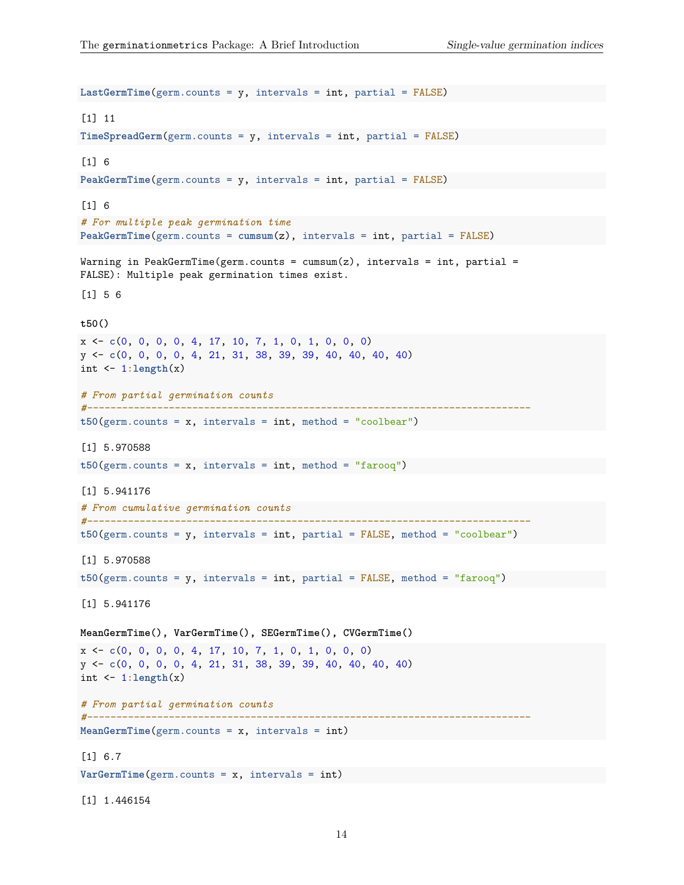```
LastGermTime(germ.counts = y, intervals = int, partial = FALSE)
[1] 11
TimeSpreadGerm(germ.counts = y, intervals = int, partial = FALSE)
[1] 6
PeakGermTime(germ.counts = y, intervals = int, partial = FALSE)
[1] 6
# For multiple peak germination time
PeakGermTime(germ.counts = cumsum(z), intervals = int, partial = FALSE)
Warning in PeakGermTime(germ.counts = cum(s), intervals = int, partial =
FALSE): Multiple peak germination times exist.
[1] 5 6
t50()
x <- c(0, 0, 0, 0, 4, 17, 10, 7, 1, 0, 1, 0, 0, 0)
y <- c(0, 0, 0, 0, 4, 21, 31, 38, 39, 39, 40, 40, 40, 40)
int <- 1:length(x)
# From partial germination counts
#----------------------------------------------------------------------------
t50(germ.counts = x, intervals = int, method = "coolbear")
[1] 5.970588
t50(germ.counts = x, intervals = int, method = "farooq")
[1] 5.941176
# From cumulative germination counts
#----------------------------------------------------------------------------
t50(germ.counts = y, intervals = int, partial = FALSE, method = "coolbear")
[1] 5.970588
t50(germ.counts = y, intervals = int, partial = FALSE, method = "farooq")
[1] 5.941176
MeanGermTime(), VarGermTime(), SEGermTime(), CVGermTime()
x <- c(0, 0, 0, 0, 4, 17, 10, 7, 1, 0, 1, 0, 0, 0)
y <- c(0, 0, 0, 0, 4, 21, 31, 38, 39, 39, 40, 40, 40, 40)
int <- 1:length(x)
# From partial germination counts
#----------------------------------------------------------------------------
MeanGermTime(germ.counts = x, intervals = int)
[1] 6.7
VarGermTime(germ.counts = x, intervals = int)
```
[1] 1.446154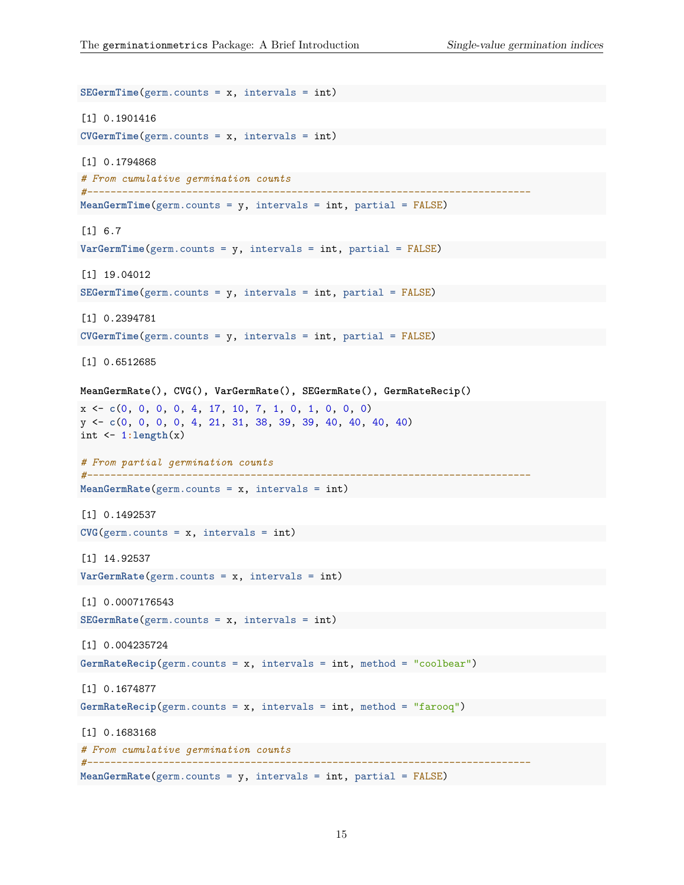```
SEGermTime(germ.counts = x, intervals = int)
[1] 0.1901416
CVGermTime(germ.counts = x, intervals = int)
[1] 0.1794868
# From cumulative germination counts
#----------------------------------------------------------------------------
MeanGermTime(germ.counts = y, intervals = int, partial = FALSE)
[1] 6.7
VarGermTime(germ.counts = y, intervals = int, partial = FALSE)
[1] 19.04012
SEGermTime(germ.counts = y, intervals = int, partial = FALSE)
[1] 0.2394781
CVGermTime(germ.counts = y, intervals = int, partial = FALSE)
[1] 0.6512685
MeanGermRate(), CVG(), VarGermRate(), SEGermRate(), GermRateRecip()
x <- c(0, 0, 0, 0, 4, 17, 10, 7, 1, 0, 1, 0, 0, 0)
y <- c(0, 0, 0, 0, 4, 21, 31, 38, 39, 39, 40, 40, 40, 40)
int <- 1:length(x)
# From partial germination counts
#----------------------------------------------------------------------------
MeanGermRate(germ.counts = x, intervals = int)
[1] 0.1492537
CVG(germ.counts = x, intervals = int)[1] 14.92537
VarGermRate(germ.counts = x, intervals = int)
[1] 0.0007176543
SEGermRate(germ.counts = x, intervals = int)
[1] 0.004235724
GermRateRecip(germ.counts = x, intervals = int, method = "coolbear")
[1] 0.1674877
GermRateRecip(germ.counts = x, intervals = int, method = "farooq")
[1] 0.1683168
# From cumulative germination counts
#----------------------------------------------------------------------------
MeanGermRate(germ.counts = y, intervals = int, partial = FALSE)
```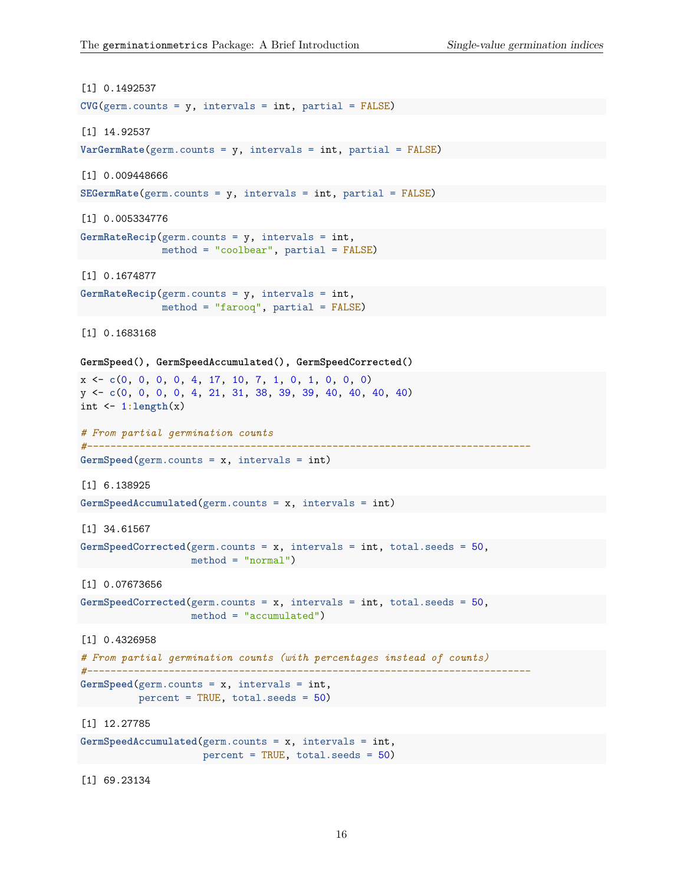```
[1] 0.1492537
CVG(germ.counts = y, intervals = int, partial = FALSE)[1] 14.92537
VarGermRate(germ.counts = y, intervals = int, partial = FALSE)
[1] 0.009448666
SEGermRate(germ.counts = y, intervals = int, partial = FALSE)
[1] 0.005334776
GermRateRecip(germ.counts = y, intervals = int,
              method = "coolbear", partial = FALSE)
[1] 0.1674877
GermRateRecip(germ.counts = y, intervals = int,
              method = "farooq", partial = FALSE)
[1] 0.1683168
GermSpeed(), GermSpeedAccumulated(), GermSpeedCorrected()
x <- c(0, 0, 0, 0, 4, 17, 10, 7, 1, 0, 1, 0, 0, 0)
y <- c(0, 0, 0, 0, 4, 21, 31, 38, 39, 39, 40, 40, 40, 40)
int <- 1:length(x)
# From partial germination counts
#----------------------------------------------------------------------------
GermSpeed(germ.counts = x, intervals = int)
[1] 6.138925
GermSpeedAccumulated(germ.counts = x, intervals = int)
[1] 34.61567
GermSpeedCorrected(germ.counts = x, intervals = int, total.seeds = 50,
                   method = "normal")
[1] 0.07673656
GermSpeedCorrected(germ.counts = x, intervals = int, total.seeds = 50,
                method = "accumulated")
[1] 0.4326958
# From partial germination counts (with percentages instead of counts)
#----------------------------------------------------------------------------
GermSpeed(germ.counts = x, intervals = int,
         percent = TRUE, total.seeds = 50)
[1] 12.27785
GermSpeedAccumulated(germ.counts = x, intervals = int,
                      percent = TRUE, total.seeds = 50)
```
[1] 69.23134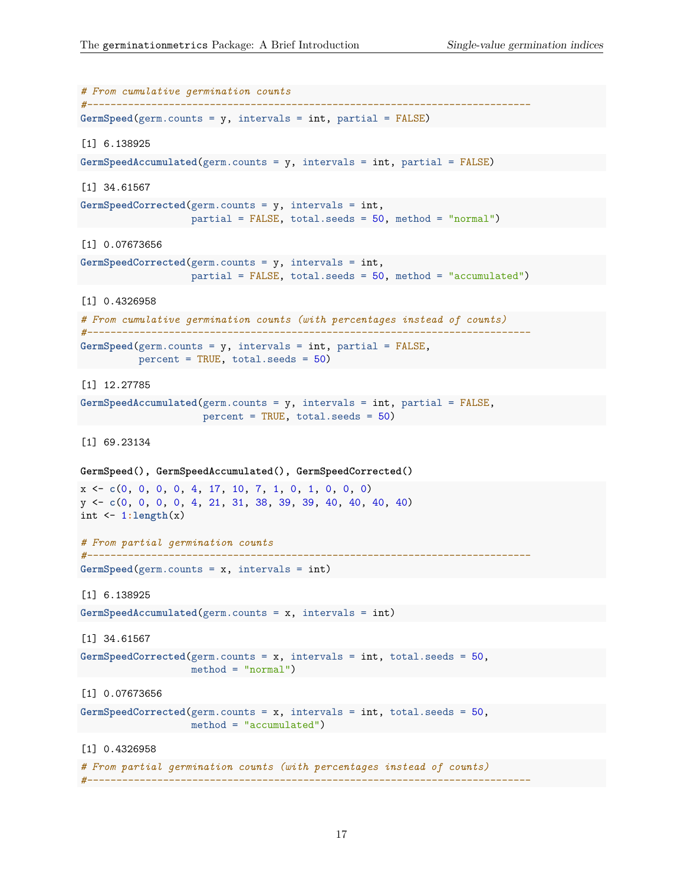```
# From cumulative germination counts
#----------------------------------------------------------------------------
GermSpeed(germ.counts = y, intervals = int, partial = FALSE)
[1] 6.138925
GermSpeedAccumulated(germ.counts = y, intervals = int, partial = FALSE)[1] 34.61567
GermSpeedCorrected(germ.counts = y, intervals = int,
                    partial = FALSE, total.seeds = 50, method = "normal")
[1] 0.07673656
GermSpeedCorrected(germ.counts = y, intervals = int,
                    partial = FALSE, total.seeds = 50, method = "accumulated")
[1] 0.4326958
# From cumulative germination counts (with percentages instead of counts)
#----------------------------------------------------------------------------
GermSpeed(germ.counts = y, intervals = int, partial = FALSE,
          percent = TRUE, total.seeds = 50)
[1] 12.27785
GermSpeedAccumulated(germ.counts = y, intervals = int, partial = FALSE,
                      percent = TRUE, total.seeds = 50)
[1] 69.23134
GermSpeed(), GermSpeedAccumulated(), GermSpeedCorrected()
x <- c(0, 0, 0, 0, 4, 17, 10, 7, 1, 0, 1, 0, 0, 0)
y <- c(0, 0, 0, 0, 4, 21, 31, 38, 39, 39, 40, 40, 40, 40)
int <- 1:length(x)
# From partial germination counts
#----------------------------------------------------------------------------
GermSpeed(germ.counts = x, intervals = int)
[1] 6.138925
GermSpeedAccumulated(germ.counts = x, intervals = int)
[1] 34.61567
GermSpeedCorrected(germ.counts = x, intervals = int, total.seeds = 50,
                  method = "normal")
[1] 0.07673656
GermSpeedCorrected(germ.counts = x, intervals = int, total.seeds = 50,
                    method = "accumulated")
[1] 0.4326958
# From partial germination counts (with percentages instead of counts)
```
*#----------------------------------------------------------------------------*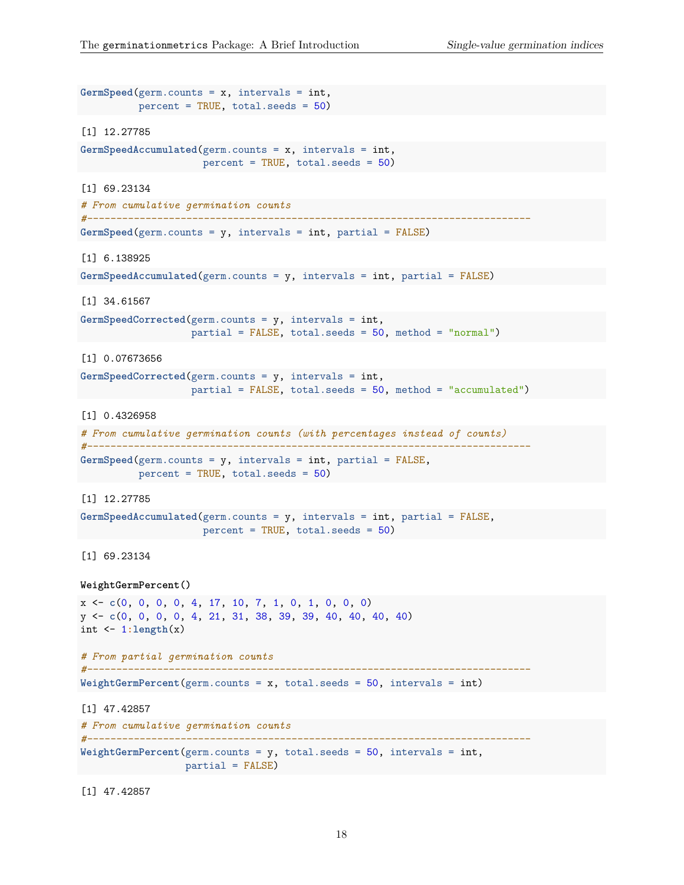```
GermSpeed(germ.counts = x, intervals = int,
         percent = TRUE, total.seeds = 50)
[1] 12.27785
GermSpeedAccumulated(germ.counts = x, intervals = int,
                     percent = TRUE, total.seeds = 50)
[1] 69.23134
# From cumulative germination counts
#----------------------------------------------------------------------------
GermSpeed(germ.counts = y, intervals = int, partial = FALSE)
[1] 6.138925
GermSpeedAccumulated(germ.counts = y, intervals = int, partial = FALSE)
[1] 34.61567
GermSpeedCorrected(germ.counts = y, intervals = int,
                   partial = FALSE, total.seeds = 50, method = "normal")
[1] 0.07673656
GermSpeedCorrected(germ.counts = y, intervals = int,
                 partial = FALSE, total.seeds = 50, method = "accumulated")
[1] 0.4326958
# From cumulative germination counts (with percentages instead of counts)
#----------------------------------------------------------------------------
GermSpeed(germ.counts = y, intervals = int, partial = FALSE,
          percent = TRUE, total.seeds = 50)
[1] 12.27785
GermSpeedAccumulated(germ.counts = y, intervals = int, partial = FALSE,
               percent = TRUE, total.seeds = 50)
[1] 69.23134
WeightGermPercent()
x <- c(0, 0, 0, 0, 4, 17, 10, 7, 1, 0, 1, 0, 0, 0)
y <- c(0, 0, 0, 0, 4, 21, 31, 38, 39, 39, 40, 40, 40, 40)
int <- 1:length(x)
# From partial germination counts
#----------------------------------------------------------------------------
WeightGermPercent(germ.counts = x, total.seeds = 50, intervals = int)
[1] 47.42857
# From cumulative germination counts
#----------------------------------------------------------------------------
WeightGermPercent(germ.counts = y, total.seeds = 50, intervals = int,
                 partial = FALSE)
```
[1] 47.42857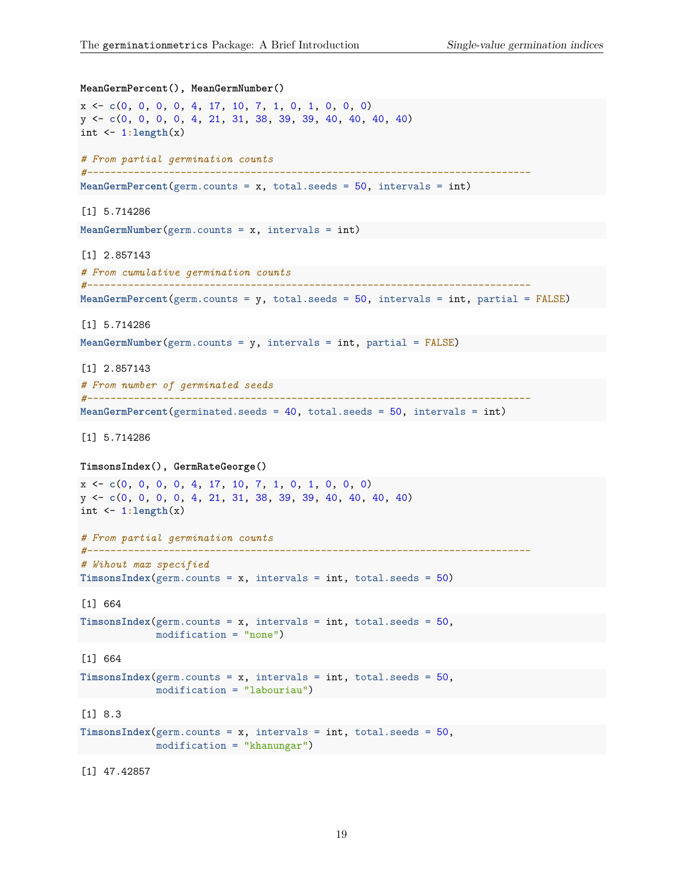```
MeanGermPercent(), MeanGermNumber()
x <- c(0, 0, 0, 0, 4, 17, 10, 7, 1, 0, 1, 0, 0, 0)
y <- c(0, 0, 0, 0, 4, 21, 31, 38, 39, 39, 40, 40, 40, 40)
int \leftarrow 1:length(x)# From partial germination counts
#----------------------------------------------------------------------------
MeanGermPercent(germ.counts = x, total.seeds = 50, intervals = int)
[1] 5.714286
MeanGermNumber(germ.counts = x, intervals = int)
[1] 2.857143
# From cumulative germination counts
#----------------------------------------------------------------------------
MeanGermPercent(germ.counts = y, total.seeds = 50, intervals = int, partial = FALSE)
[1] 5.714286
MeanGermNumber(germ.counts = y, intervals = int, partial = FALSE)
[1] 2.857143
# From number of germinated seeds
#----------------------------------------------------------------------------
MeanGermPercent(germinated.seeds = 40, total.seeds = 50, intervals = int)
[1] 5.714286
TimsonsIndex(), GermRateGeorge()
x <- c(0, 0, 0, 0, 4, 17, 10, 7, 1, 0, 1, 0, 0, 0)
y <- c(0, 0, 0, 0, 4, 21, 31, 38, 39, 39, 40, 40, 40, 40)
int <- 1:length(x)
# From partial germination counts
#----------------------------------------------------------------------------
# Wihout max specified
TimsonsIndex(germ.counts = x, intervals = int, total.eeds = 50)[1] 664
TimsonsIndex(germ.counts = x, intervals = int, total.seeds = 50,
             modification = "none")
[1] 664
TimsonsIndex(germ.counts = x, intervals = int, total.eeds = 50,modification = "labouriau")
[1] 8.3
TimsonsIndex(germ.counts = x, intervals = int, total.eeds = 50,modification = "khanungar")
```
[1] 47.42857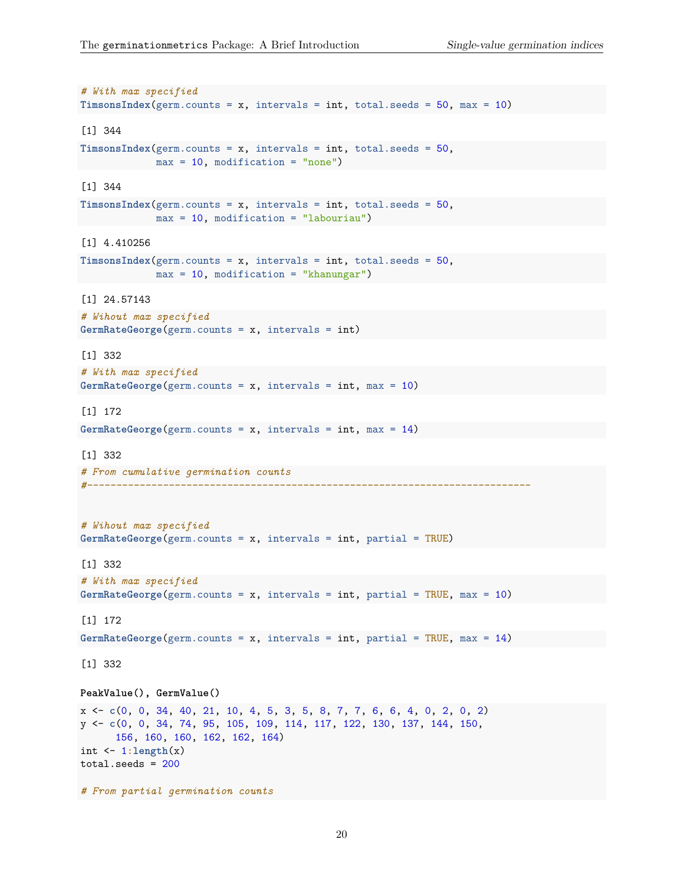```
# With max specified
TimsonsIndex(germ.counts = x, intervals = int, total.seeds = 50, max = 10)
[1] 344
TimsonsIndex(germ.counts = x, intervals = int, total.seeds = 50,
             max = 10, modification = "none")
[1] 344
TimsonsIndex(germ.counts = x, intervals = int, total.seeds = 50,
             max = 10, modification = "labouriau")
[1] 4.410256
TimsonsIndex(germ.counts = x, intervals = int, total.seeds = 50,
            max = 10, modification = "khanungar")
[1] 24.57143
# Wihout max specified
GermRateGeorge(germ.counts = x, intervals = int)
[1] 332
# With max specified
GermRateGeorge(germ.counts = x, intervals = int, max = 10)
[1] 172
GermRateGeorge(germ.counts = x, intervals = int, max = 14)
[1] 332
# From cumulative germination counts
#----------------------------------------------------------------------------
# Wihout max specified
GermRateGeorge(germ.counts = x, intervals = int, partial = TRUE)
[1] 332
# With max specified
GermRateGeorge(germ.counts = x, intervals = int, partial = TRUE, max = 10)
[1] 172
GermRateGeorge(germ.counts = x, intervals = int, partial = TRUE, max = 14)
[1] 332
PeakValue(), GermValue()
x <- c(0, 0, 34, 40, 21, 10, 4, 5, 3, 5, 8, 7, 7, 6, 6, 4, 0, 2, 0, 2)
y <- c(0, 0, 34, 74, 95, 105, 109, 114, 117, 122, 130, 137, 144, 150,
      156, 160, 160, 162, 162, 164)
int <- 1:length(x)
total.seeds = 200# From partial germination counts
```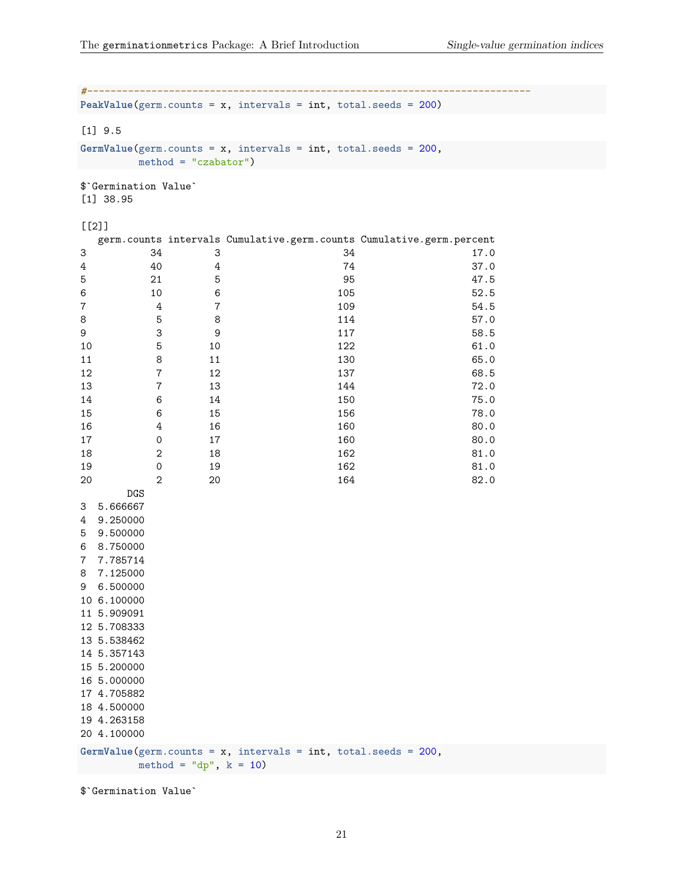```
#----------------------------------------------------------------------------
PeakValue(germ.counts = x, intervals = int, total.seeds = 200)
[1] 9.5
GermValue(germ.counts = x, intervals = int, total.seeds = 200,
    method = "czabator")
$`Germination Value`
[1] 38.95
[[2]]
 germ.counts intervals Cumulative.germ.counts Cumulative.germ.percent
3 34 3 34 17.0
4 4 4 4 74 37.0
5 21 5 95 47.5
6 10 6 105 52.5
7 4 7 109 54.5
8 5 8 114 57.0
9 3 9 117 58.5
10 5 10 122 61.0
11 8 11 130 65.0
12 7 12 137 68.5
13 7 13 144 72.0
14 6 14 150 75.0
15 6 15 156 156 78.0
16 4 16 160 80.0
17 0 17 160 80.0
18 2 18 162 81.0
19 0 19 162 81.0
20 20 20 164 82.0
   DGS
3 5.666667
4 9.250000
5 9.500000
6 8.750000
7 7.785714
8 7.125000
9 6.500000
10 6.100000
11 5.909091
12 5.708333
13 5.538462
14 5.357143
15 5.200000
16 5.000000
17 4.705882
18 4.500000
19 4.263158
20 4.100000
GermValue(germ.counts = x, intervals = int, total.seeds = 200,
    method = "dp", k = 10)
```
\$`Germination Value`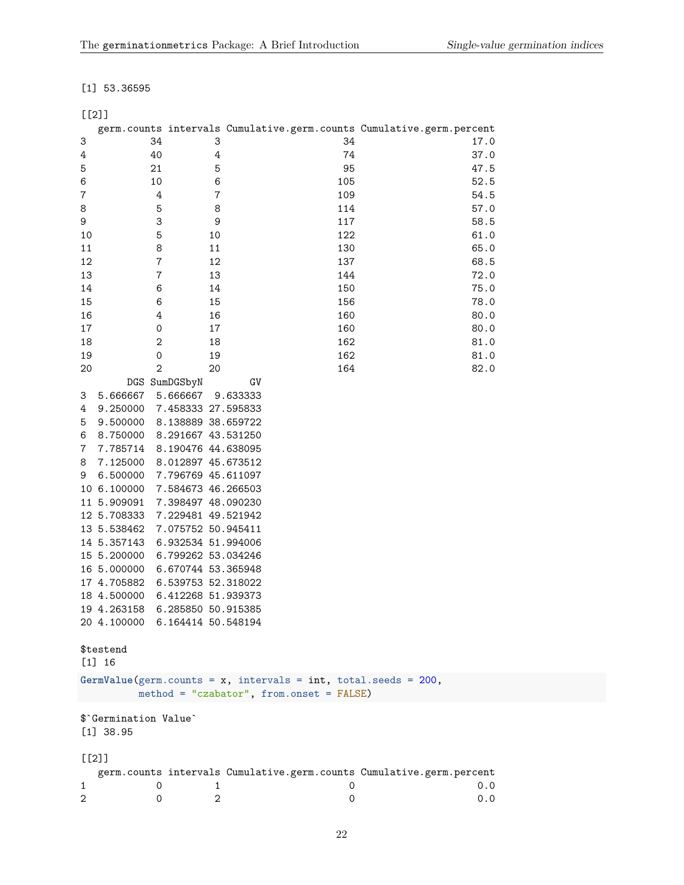# [1] 53.36595

# [[2]]

|          |                                |                    |                                                                                                               | germ.counts intervals Cumulative.germ.counts Cumulative.germ.percent |
|----------|--------------------------------|--------------------|---------------------------------------------------------------------------------------------------------------|----------------------------------------------------------------------|
| 3        | 34                             | 3                  | 34                                                                                                            | 17.0                                                                 |
| 4        | 40                             | $\sqrt{4}$         | 74                                                                                                            | 37.0                                                                 |
| 5        | 21                             | 5                  | 95                                                                                                            | 47.5                                                                 |
| 6        | 10                             | 6                  | 105                                                                                                           | 52.5                                                                 |
| 7        | 4                              | $\bf 7$            | 109                                                                                                           | 54.5                                                                 |
| 8        | 5                              | 8                  | 114                                                                                                           | 57.0                                                                 |
| 9        | 3                              | 9                  | 117                                                                                                           | 58.5                                                                 |
| 10       | 5                              | 10                 | 122                                                                                                           | 61.0                                                                 |
| 11       | 8                              | 11                 | 130                                                                                                           | 65.0                                                                 |
| 12       | $\bf 7$                        | 12                 | 137                                                                                                           | 68.5                                                                 |
| 13       | $\bf 7$                        | 13                 | 144                                                                                                           | 72.0                                                                 |
| 14       | 6                              | 14                 | 150                                                                                                           | 75.0                                                                 |
| 15       | 6                              | 15                 | 156                                                                                                           | 78.0                                                                 |
| 16       | 4                              | 16                 | 160                                                                                                           | 80.0                                                                 |
| 17       | 0                              | 17                 | 160                                                                                                           | 80.0                                                                 |
| 18       | $\mathbf 2$                    | 18                 | 162                                                                                                           | 81.0                                                                 |
| 19       | 0                              | 19                 | 162                                                                                                           | 81.0                                                                 |
| 20       | $\overline{2}$                 | 20                 | 164                                                                                                           | 82.0                                                                 |
|          |                                | DGS SumDGSbyN      | GV                                                                                                            |                                                                      |
| 3        | 5.666667                       | 5.666667           | 9.633333                                                                                                      |                                                                      |
| 4        | 9.250000                       | 7.458333 27.595833 |                                                                                                               |                                                                      |
| 5        | 9.500000                       | 8.138889 38.659722 |                                                                                                               |                                                                      |
| 6        | 8.750000 8.291667 43.531250    |                    |                                                                                                               |                                                                      |
| 7        | 7.785714 8.190476 44.638095    |                    |                                                                                                               |                                                                      |
| 8        | 7.125000                       | 8.012897 45.673512 |                                                                                                               |                                                                      |
| 9        | 6.500000                       | 7.796769 45.611097 |                                                                                                               |                                                                      |
|          | 10 6.100000                    | 7.584673 46.266503 |                                                                                                               |                                                                      |
|          | 11 5.909091                    | 7.398497 48.090230 |                                                                                                               |                                                                      |
|          | 12 5.708333                    | 7.229481 49.521942 |                                                                                                               |                                                                      |
|          | 13 5.538462                    | 7.075752 50.945411 |                                                                                                               |                                                                      |
|          | 14 5.357143                    | 6.932534 51.994006 |                                                                                                               |                                                                      |
|          | 15 5.200000                    | 6.799262 53.034246 |                                                                                                               |                                                                      |
|          | 16 5.000000                    | 6.670744 53.365948 |                                                                                                               |                                                                      |
|          | 17 4.705882                    | 6.539753 52.318022 |                                                                                                               |                                                                      |
|          | 18 4.500000                    | 6.412268 51.939373 |                                                                                                               |                                                                      |
|          | 19 4.263158                    | 6.285850 50.915385 |                                                                                                               |                                                                      |
|          | 20 4.100000 6.164414 50.548194 |                    |                                                                                                               |                                                                      |
|          |                                |                    |                                                                                                               |                                                                      |
|          | \$testend                      |                    |                                                                                                               |                                                                      |
|          | $[1]$ 16                       |                    |                                                                                                               |                                                                      |
|          |                                |                    |                                                                                                               |                                                                      |
|          |                                |                    | GermValue(germ.counts = $x$ , intervals = int, total.seeds = 200,<br>method = "czabator", from.onset = FALSE) |                                                                      |
|          | \$'Germination Value'          |                    |                                                                                                               |                                                                      |
|          | $[1]$ 38.95                    |                    |                                                                                                               |                                                                      |
| $[$ [2]] |                                |                    |                                                                                                               |                                                                      |
|          |                                |                    |                                                                                                               | germ.counts intervals Cumulative.germ.counts Cumulative.germ.percent |
| 1        | 0                              | 1                  | 0                                                                                                             | 0.0                                                                  |
| 2        | 0                              | 2                  | 0                                                                                                             | 0.0                                                                  |
|          |                                |                    |                                                                                                               |                                                                      |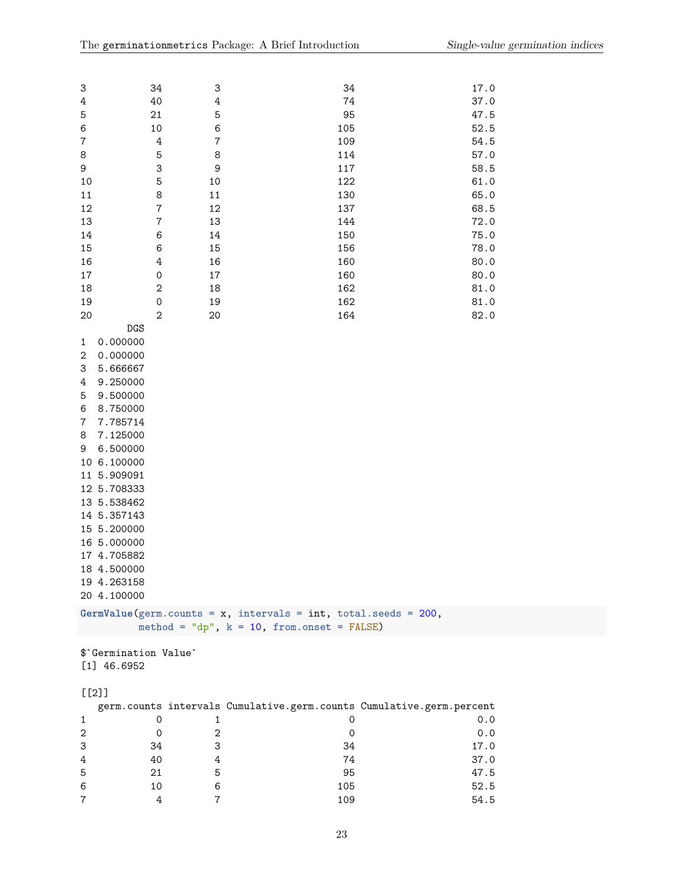| 3                          | 34                               | 3              | 34                                                                   | 17.0         |  |  |
|----------------------------|----------------------------------|----------------|----------------------------------------------------------------------|--------------|--|--|
| $\ensuremath{4}$           | 40                               | $\overline{4}$ | 74                                                                   | 37.0         |  |  |
| 5                          | 21                               | 5              | 95                                                                   | 47.5         |  |  |
| $\,6$                      | 10                               | $\,6$          | 105                                                                  | 52.5         |  |  |
| $\bf 7$                    | $\ensuremath{4}$                 | $\overline{7}$ | 109                                                                  | 54.5         |  |  |
| 8                          | 5                                | 8              | 114                                                                  | 57.0         |  |  |
| 9                          | 3                                | 9              | 117                                                                  | 58.5         |  |  |
| 10                         | 5                                | 10             | 122                                                                  | 61.0         |  |  |
| $11\,$                     | 8                                | $11\,$         | 130                                                                  | 65.0         |  |  |
| 12<br>13                   | $\overline{7}$<br>$\overline{7}$ | 12<br>13       | 137<br>144                                                           | 68.5<br>72.0 |  |  |
| $14\,$                     | 6                                | $14\,$         | 150                                                                  | 75.0         |  |  |
| 15                         | 6                                | 15             | 156                                                                  | 78.0         |  |  |
| 16                         | 4                                | 16             | 160                                                                  | 80.0         |  |  |
| $17\,$                     | $\mathbf 0$                      | $17\,$         | 160                                                                  | 80.0         |  |  |
| 18                         | $\overline{c}$                   | 18             | 162                                                                  | 81.0         |  |  |
| 19                         | $\mathbf 0$                      | 19             | 162                                                                  | 81.0         |  |  |
| 20                         | $\overline{2}$                   | 20             | 164                                                                  | 82.0         |  |  |
| DGS                        |                                  |                |                                                                      |              |  |  |
| 0.000000<br>1              |                                  |                |                                                                      |              |  |  |
| $\,2$<br>0.000000          |                                  |                |                                                                      |              |  |  |
| 3<br>5.666667              |                                  |                |                                                                      |              |  |  |
| 9.250000<br>4              |                                  |                |                                                                      |              |  |  |
| 5<br>9.500000              |                                  |                |                                                                      |              |  |  |
| 6<br>8.750000              |                                  |                |                                                                      |              |  |  |
| 7.785714<br>7              |                                  |                |                                                                      |              |  |  |
| 7.125000<br>8              |                                  |                |                                                                      |              |  |  |
| 6.500000<br>9              |                                  |                |                                                                      |              |  |  |
| 10 6.100000                |                                  |                |                                                                      |              |  |  |
| 11 5.909091                |                                  |                |                                                                      |              |  |  |
| 12 5.708333                |                                  |                |                                                                      |              |  |  |
| 13 5.538462                |                                  |                |                                                                      |              |  |  |
| 14 5.357143                |                                  |                |                                                                      |              |  |  |
| 15 5.200000                |                                  |                |                                                                      |              |  |  |
| 16 5.000000                |                                  |                |                                                                      |              |  |  |
| 17 4.705882<br>18 4.500000 |                                  |                |                                                                      |              |  |  |
| 19 4.263158                |                                  |                |                                                                      |              |  |  |
| 20 4.100000                |                                  |                |                                                                      |              |  |  |
|                            |                                  |                |                                                                      |              |  |  |
|                            |                                  |                | GermValue(germ.counts = $x$ , intervals = int, total.seeds = 200,    |              |  |  |
|                            |                                  |                | method = "dp", $k = 10$ , from.onset = FALSE)                        |              |  |  |
| \$'Germination Value'      |                                  |                |                                                                      |              |  |  |
| $[1]$ 46.6952              |                                  |                |                                                                      |              |  |  |
|                            |                                  |                |                                                                      |              |  |  |
| $[$ [2]]                   |                                  |                |                                                                      |              |  |  |
|                            |                                  |                | germ.counts intervals Cumulative.germ.counts Cumulative.germ.percent |              |  |  |
| 1                          | 0                                | 1              | 0                                                                    | 0.0          |  |  |
| $\mathbf 2$                | 0                                | $\sqrt{2}$     | 0                                                                    | 0.0          |  |  |
| 3                          | 34                               | 3              | 34                                                                   | 17.0         |  |  |
| 4                          | 40                               | 4              | 74                                                                   | 37.0         |  |  |
| 5                          | 21                               | 5              | 95                                                                   | 47.5         |  |  |
| 6                          | 10                               | 6              | 105                                                                  | 52.5         |  |  |
| $\overline{7}$             | 4                                | $\overline{7}$ | 109                                                                  | 54.5         |  |  |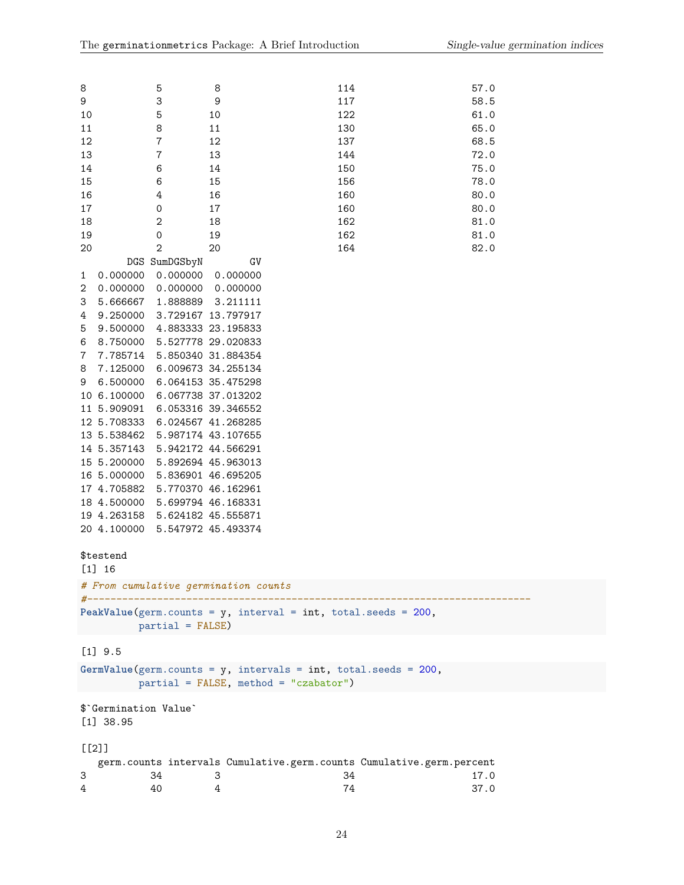| 8        |                            | 5                  | 8                                                                 | 114                                                                  | 57.0 |
|----------|----------------------------|--------------------|-------------------------------------------------------------------|----------------------------------------------------------------------|------|
| 9        |                            | 3                  | 9                                                                 | 117                                                                  | 58.5 |
| 10       |                            | 5                  | 10                                                                | 122                                                                  | 61.0 |
| 11       |                            | 8                  | 11                                                                | 130                                                                  | 65.0 |
| 12       |                            | $\boldsymbol{7}$   | 12                                                                | 137                                                                  | 68.5 |
| 13       |                            | $\overline{7}$     | 13                                                                | 144                                                                  | 72.0 |
| 14       |                            | 6                  | 14                                                                | 150                                                                  | 75.0 |
| 15       |                            | 6                  | 15                                                                | 156                                                                  | 78.0 |
| 16       |                            | 4                  | 16                                                                | 160                                                                  | 80.0 |
| 17       |                            | 0                  | 17                                                                | 160                                                                  | 80.0 |
| 18       |                            | $\mathbf{2}$       | 18                                                                | 162                                                                  | 81.0 |
| 19       |                            | 0                  | 19                                                                | 162                                                                  | 81.0 |
| 20       |                            | $\mathbf{2}$       | 20                                                                | 164                                                                  | 82.0 |
|          |                            | DGS SumDGSbyN      | GV                                                                |                                                                      |      |
| 1        | 0.000000                   | 0.000000           | 0.000000                                                          |                                                                      |      |
| 2        | 0.000000                   | 0.000000           | 0.000000                                                          |                                                                      |      |
| 3        | 5.666667                   | 1.888889           | 3.211111                                                          |                                                                      |      |
| 4        | 9.250000                   |                    | 3.729167 13.797917                                                |                                                                      |      |
| 5        | 9.500000                   |                    | 4.883333 23.195833                                                |                                                                      |      |
| 6        | 8.750000                   |                    | 5.527778 29.020833                                                |                                                                      |      |
| 7        | 7.785714                   |                    | 5.850340 31.884354                                                |                                                                      |      |
|          | 7.125000                   |                    | 6.009673 34.255134                                                |                                                                      |      |
| 8        | 6.500000                   |                    | 6.064153 35.475298                                                |                                                                      |      |
| 9        | 10 6.100000                |                    | 6.067738 37.013202                                                |                                                                      |      |
|          |                            |                    |                                                                   |                                                                      |      |
|          | 11 5.909091                |                    | 6.053316 39.346552                                                |                                                                      |      |
|          | 12 5.708333                |                    | 6.024567 41.268285                                                |                                                                      |      |
|          | 13 5.538462                |                    | 5.987174 43.107655                                                |                                                                      |      |
|          | 14 5.357143                |                    | 5.942172 44.566291                                                |                                                                      |      |
|          | 15 5.200000                |                    | 5.892694 45.963013                                                |                                                                      |      |
|          | 16 5.000000                |                    | 5.836901 46.695205                                                |                                                                      |      |
|          | 17 4.705882                |                    | 5.770370 46.162961                                                |                                                                      |      |
|          | 18 4.500000                |                    | 5.699794 46.168331                                                |                                                                      |      |
|          | 19 4.263158                |                    | 5.624182 45.555871                                                |                                                                      |      |
|          | 20 4.100000                |                    | 5.547972 45.493374                                                |                                                                      |      |
|          |                            |                    |                                                                   |                                                                      |      |
|          | \$testend                  |                    |                                                                   |                                                                      |      |
|          | $[1] 16$                   |                    |                                                                   |                                                                      |      |
|          |                            |                    | # From cumulative germination counts                              |                                                                      |      |
|          | #------------------------- |                    |                                                                   |                                                                      |      |
|          |                            |                    | PeakValue(germ.counts = $y$ , interval = int, total.seeds = 200,  |                                                                      |      |
|          |                            | $partial = FALSE)$ |                                                                   |                                                                      |      |
|          |                            |                    |                                                                   |                                                                      |      |
|          | $[1]$ 9.5                  |                    |                                                                   |                                                                      |      |
|          |                            |                    | GermValue(germ.counts = $y$ , intervals = int, total.seeds = 200, |                                                                      |      |
|          |                            |                    | $partial = FALSE, method = "czabator")$                           |                                                                      |      |
|          |                            |                    |                                                                   |                                                                      |      |
|          | \$ Germination Value       |                    |                                                                   |                                                                      |      |
|          | $[1]$ 38.95                |                    |                                                                   |                                                                      |      |
|          |                            |                    |                                                                   |                                                                      |      |
| $[$ [2]] |                            |                    |                                                                   |                                                                      |      |
|          |                            |                    |                                                                   | germ.counts intervals Cumulative.germ.counts Cumulative.germ.percent |      |
|          |                            |                    |                                                                   | 21                                                                   |      |

| 3 | - 34 | -34 | 17.0 |
|---|------|-----|------|
| 4 | 40   |     | 37.0 |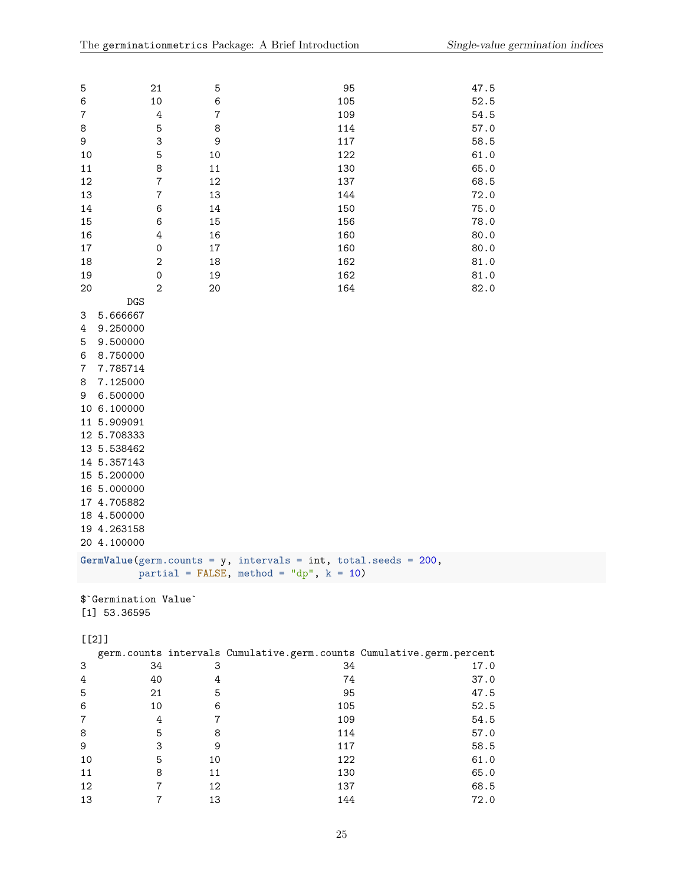| 5              |             | 21               | 5              | 95                                                                | 47.5 |
|----------------|-------------|------------------|----------------|-------------------------------------------------------------------|------|
| $\,6$          |             | 10               | 6              | 105                                                               | 52.5 |
| $\overline{7}$ |             | $\ensuremath{4}$ | $\overline{7}$ | 109                                                               | 54.5 |
| 8              |             | 5                | 8              | 114                                                               | 57.0 |
| 9              |             | 3                | 9              | 117                                                               | 58.5 |
| 10             |             | 5                | 10             | 122                                                               | 61.0 |
| 11             |             | 8                | 11             | 130                                                               | 65.0 |
| 12             |             | $\overline{7}$   | 12             | 137                                                               | 68.5 |
| 13             |             | $\overline{7}$   | 13             | 144                                                               | 72.0 |
| 14             |             | 6                | 14             | 150                                                               | 75.0 |
| 15             |             | 6                | 15             | 156                                                               | 78.0 |
| 16             |             | 4                | 16             | 160                                                               | 80.0 |
| $17\,$         |             | $\mathbf 0$      | 17             | 160                                                               | 80.0 |
| 18             |             | $\overline{2}$   | 18             | 162                                                               | 81.0 |
| 19             |             | 0                | 19             | 162                                                               | 81.0 |
| 20             |             | $\overline{2}$   | 20             | 164                                                               | 82.0 |
|                | DGS         |                  |                |                                                                   |      |
| 3              | 5.666667    |                  |                |                                                                   |      |
| 4              | 9.250000    |                  |                |                                                                   |      |
| 5              | 9.500000    |                  |                |                                                                   |      |
| 6              | 8.750000    |                  |                |                                                                   |      |
| 7              | 7.785714    |                  |                |                                                                   |      |
| 8              | 7.125000    |                  |                |                                                                   |      |
| 9              | 6.500000    |                  |                |                                                                   |      |
|                | 10 6.100000 |                  |                |                                                                   |      |
|                | 11 5.909091 |                  |                |                                                                   |      |
|                | 12 5.708333 |                  |                |                                                                   |      |
|                | 13 5.538462 |                  |                |                                                                   |      |
|                | 14 5.357143 |                  |                |                                                                   |      |
|                | 15 5.200000 |                  |                |                                                                   |      |
|                | 16 5.000000 |                  |                |                                                                   |      |
|                | 17 4.705882 |                  |                |                                                                   |      |
|                | 18 4.500000 |                  |                |                                                                   |      |
|                | 19 4.263158 |                  |                |                                                                   |      |
|                | 20 4.100000 |                  |                |                                                                   |      |
|                |             |                  |                | GermValue(germ.counts = $y$ , intervals = int, total.seeds = 200, |      |
|                |             |                  |                | partial = FALSE, method = "dp", $k = 10$ )                        |      |
|                |             |                  |                |                                                                   |      |

\$`Germination Value` [1] 53.36595

# [[2]]

|                |    |    |     | germ.counts intervals Cumulative.germ.counts Cumulative.germ.percent |
|----------------|----|----|-----|----------------------------------------------------------------------|
| 3              | 34 | 3  | 34  | 17.0                                                                 |
| 4              | 40 |    | 74  | 37.0                                                                 |
| 5              | 21 | 5  | 95  | 47.5                                                                 |
| 6              | 10 | 6  | 105 | 52.5                                                                 |
| $\overline{7}$ | 4  |    | 109 | 54.5                                                                 |
| 8              | 5  | 8  | 114 | 57.0                                                                 |
| 9              | 3  | 9  | 117 | 58.5                                                                 |
| 10             | 5  | 10 | 122 | 61.0                                                                 |
| 11             | 8  | 11 | 130 | 65.0                                                                 |
| 12             |    | 12 | 137 | 68.5                                                                 |
| 13             |    | 13 | 144 | 72.0                                                                 |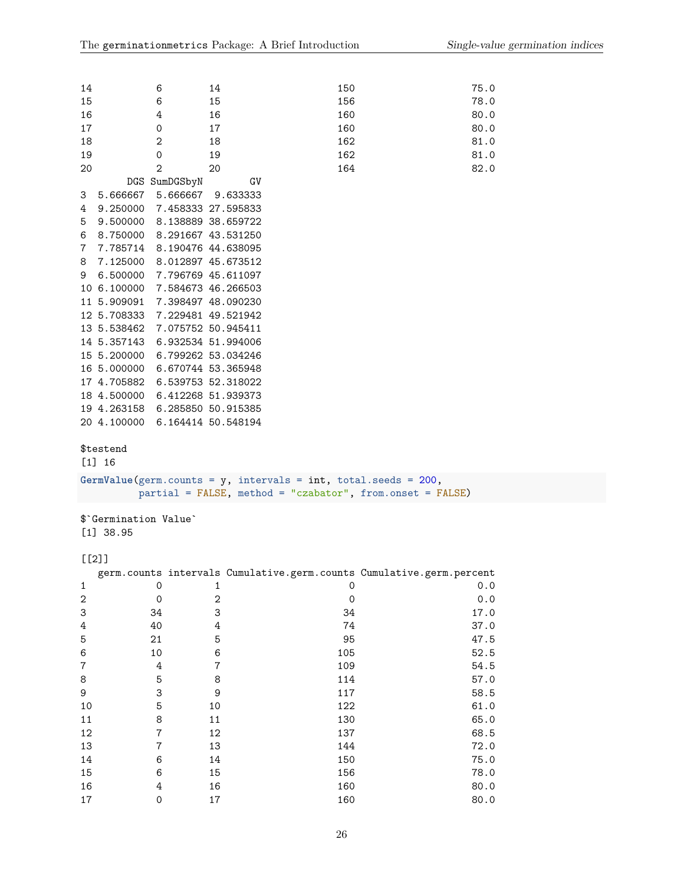| 14                             | 6                           | 14                                                                | 150                                                                  | 75.0 |
|--------------------------------|-----------------------------|-------------------------------------------------------------------|----------------------------------------------------------------------|------|
| 15                             | 6                           | 15                                                                | 156                                                                  | 78.0 |
| 16                             | 4                           | 16                                                                | 160                                                                  | 80.0 |
| 17                             | 0                           | 17                                                                | 160                                                                  | 80.0 |
| 18                             | $\mathbf{2}$                | 18                                                                | 162                                                                  | 81.0 |
| 19                             | $\mathsf{O}\xspace$         | 19                                                                | 162                                                                  | 81.0 |
| 20                             | $\overline{2}$              | 20                                                                | 164                                                                  | 82.0 |
|                                | DGS SumDGSbyN               | GV                                                                |                                                                      |      |
| 3                              | 5.666667 5.666667           | 9.633333                                                          |                                                                      |      |
| 4                              | 9.250000 7.458333 27.595833 |                                                                   |                                                                      |      |
| 5                              | 9.500000 8.138889 38.659722 |                                                                   |                                                                      |      |
| 6                              | 8.750000 8.291667 43.531250 |                                                                   |                                                                      |      |
| 7                              | 7.785714 8.190476 44.638095 |                                                                   |                                                                      |      |
| 8                              | 7.125000 8.012897 45.673512 |                                                                   |                                                                      |      |
| 9                              | 6.500000 7.796769 45.611097 |                                                                   |                                                                      |      |
| 10 6.100000 7.584673 46.266503 |                             |                                                                   |                                                                      |      |
| 11 5.909091 7.398497 48.090230 |                             |                                                                   |                                                                      |      |
| 12 5.708333 7.229481 49.521942 |                             |                                                                   |                                                                      |      |
| 13 5.538462 7.075752 50.945411 |                             |                                                                   |                                                                      |      |
| 14 5.357143 6.932534 51.994006 |                             |                                                                   |                                                                      |      |
| 15 5.200000 6.799262 53.034246 |                             |                                                                   |                                                                      |      |
| 16 5.000000 6.670744 53.365948 |                             |                                                                   |                                                                      |      |
| 17 4.705882 6.539753 52.318022 |                             |                                                                   |                                                                      |      |
| 18 4.500000 6.412268 51.939373 |                             |                                                                   |                                                                      |      |
| 19 4.263158 6.285850 50.915385 |                             |                                                                   |                                                                      |      |
| 20 4.100000 6.164414 50.548194 |                             |                                                                   |                                                                      |      |
|                                |                             |                                                                   |                                                                      |      |
| \$testend                      |                             |                                                                   |                                                                      |      |
| $[1] 16$                       |                             |                                                                   |                                                                      |      |
|                                |                             | GermValue(germ.counts = $y$ , intervals = int, total.seeds = 200, |                                                                      |      |
|                                |                             |                                                                   | partial = FALSE, method = "czabator", from.onset = FALSE)            |      |
|                                |                             |                                                                   |                                                                      |      |
| \$'Germination Value'          |                             |                                                                   |                                                                      |      |
| $[1]$ 38.95                    |                             |                                                                   |                                                                      |      |
|                                |                             |                                                                   |                                                                      |      |
| $[$ [2]]                       |                             |                                                                   |                                                                      |      |
|                                |                             |                                                                   | germ.counts intervals Cumulative.germ.counts Cumulative.germ.percent |      |
| 1                              | $\mathbf 0$                 | $\mathbf{1}$                                                      | $\mathbf 0$                                                          | 0.0  |
| $\sqrt{2}$                     | $\mathsf{O}\xspace$         | $\sqrt{2}$                                                        | $\mathsf{O}\xspace$                                                  | 0.0  |
| 3                              | 34                          | 3                                                                 | 34                                                                   | 17.0 |
| 4                              | 40                          | $\ensuremath{4}$                                                  | 74                                                                   | 37.0 |
| 5                              | 21                          | 5                                                                 | 95                                                                   | 47.5 |
| 6                              | 10                          | 6                                                                 | 105                                                                  | 52.5 |
| 7                              | $\ensuremath{4}$            | $\bf 7$                                                           | 109                                                                  | 54.5 |
| 8                              | $\overline{5}$              | 8                                                                 | 114                                                                  | 57.0 |
| 9                              | 3                           | $\mathsf 9$                                                       | 117                                                                  | 58.5 |
| 10                             | 5                           | 10                                                                | 122                                                                  | 61.0 |
| 11                             | 8                           | $11\,$                                                            | 130                                                                  | 65.0 |
| 12                             | $\overline{7}$              | 12                                                                | 137                                                                  | 68.5 |
| 13                             | $\overline{\mathbf{7}}$     | 13                                                                | 144                                                                  | 72.0 |
| 14                             | 6                           | 14                                                                | 150                                                                  | 75.0 |
| 15                             | 6                           | 15                                                                | 156                                                                  | 78.0 |
| 16                             | $\ensuremath{4}$            | 16                                                                | 160                                                                  | 80.0 |
| $17\,$                         | $\mathsf{O}\xspace$         | 17                                                                | 160                                                                  | 80.0 |
|                                |                             |                                                                   |                                                                      |      |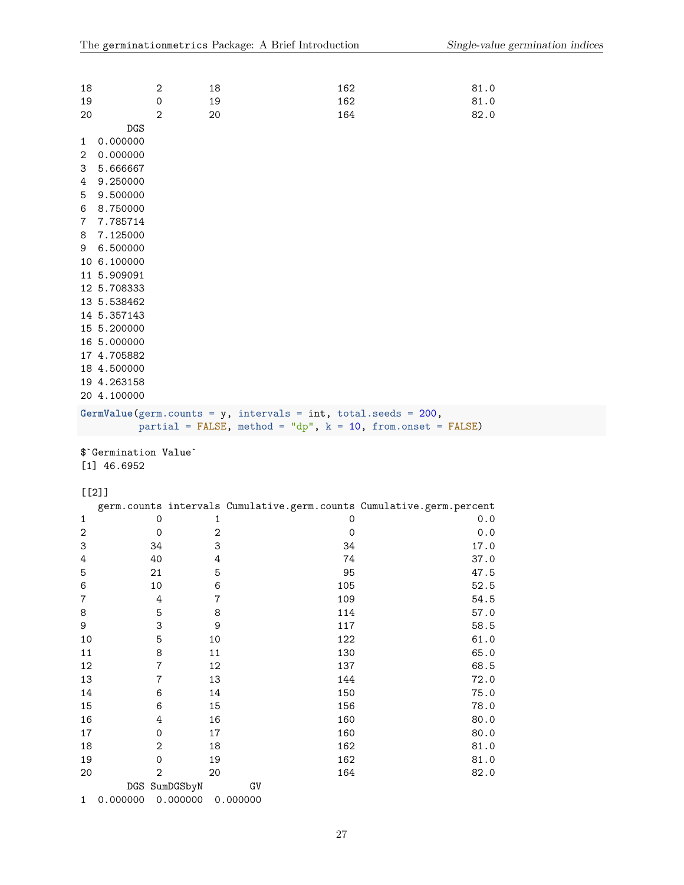| 18             |                   | $\mathbf{2}$   | 18                                                                | 162 | 81.0 |
|----------------|-------------------|----------------|-------------------------------------------------------------------|-----|------|
| 19             |                   | $\mathbf 0$    | 19                                                                | 162 | 81.0 |
| 20             |                   | $\overline{2}$ | 20                                                                | 164 | 82.0 |
|                | <b>DGS</b>        |                |                                                                   |     |      |
| $\mathbf{1}$   | 0.000000          |                |                                                                   |     |      |
| $\overline{2}$ | 0.000000          |                |                                                                   |     |      |
| 3              | 5.666667          |                |                                                                   |     |      |
|                | 4 9.250000        |                |                                                                   |     |      |
| 5              | 9.500000          |                |                                                                   |     |      |
| 6              | 8.750000          |                |                                                                   |     |      |
|                | 7 7.785714        |                |                                                                   |     |      |
| 8              | 7.125000          |                |                                                                   |     |      |
|                | 9 6.500000        |                |                                                                   |     |      |
|                | 10 6.100000       |                |                                                                   |     |      |
|                | 11 5.909091       |                |                                                                   |     |      |
|                | 12 5.708333       |                |                                                                   |     |      |
|                | 13 5.538462       |                |                                                                   |     |      |
|                | 14 5.357143       |                |                                                                   |     |      |
|                | 15 5.200000       |                |                                                                   |     |      |
|                | 16 5.000000       |                |                                                                   |     |      |
|                | 17 4.705882       |                |                                                                   |     |      |
|                | 18 4.500000       |                |                                                                   |     |      |
|                | 19 4.263158       |                |                                                                   |     |      |
|                | 20 4.100000       |                |                                                                   |     |      |
|                |                   |                | GermValue(germ.counts = $y$ , intervals = int, total.seeds = 200, |     |      |
|                |                   |                | partial = FALSE, method = "dp", $k = 10$ , from.onset = FALSE)    |     |      |
|                | $\phi \circ \phi$ |                |                                                                   |     |      |

\$`Germination Value` [1] 46.6952

# $[$ [2]]

|                |                |          |             | germ.counts intervals Cumulative.germ.counts Cumulative.germ.percent |
|----------------|----------------|----------|-------------|----------------------------------------------------------------------|
| $\mathbf{1}$   | 0              | 1        | 0           | 0.0                                                                  |
| $\mathbf{2}$   | $\mathbf 0$    | 2        | $\mathbf 0$ | 0.0                                                                  |
| 3              | 34             | 3        | 34          | 17.0                                                                 |
| 4              | 40             | 4        | 74          | 37.0                                                                 |
| 5              | 21             | 5        | 95          | 47.5                                                                 |
| 6              | 10             | 6        | 105         | 52.5                                                                 |
| $\overline{7}$ | 4              | 7        | 109         | 54.5                                                                 |
| 8              | 5              | 8        | 114         | 57.0                                                                 |
| 9              | 3              | 9        | 117         | 58.5                                                                 |
| 10             | 5              | 10       | 122         | 61.0                                                                 |
| 11             | 8              | 11       | 130         | 65.0                                                                 |
| 12             | 7              | 12       | 137         | 68.5                                                                 |
| 13             | $\overline{7}$ | 13       | 144         | 72.0                                                                 |
| 14             | 6              | 14       | 150         | 75.0                                                                 |
| 15             | 6              | 15       | 156         | 78.0                                                                 |
| 16             | 4              | 16       | 160         | 80.0                                                                 |
| 17             | $\Omega$       | 17       | 160         | 80.0                                                                 |
| 18             | $\mathbf{2}$   | 18       | 162         | 81.0                                                                 |
| 19             | 0              | 19       | 162         | 81.0                                                                 |
| 20             | $\overline{2}$ | 20       | 164         | 82.0                                                                 |
|                | DGS SumDGSbyN  |          | GV          |                                                                      |
| $\mathbf{1}$   | 0.000000       | 0.000000 | 0.000000    |                                                                      |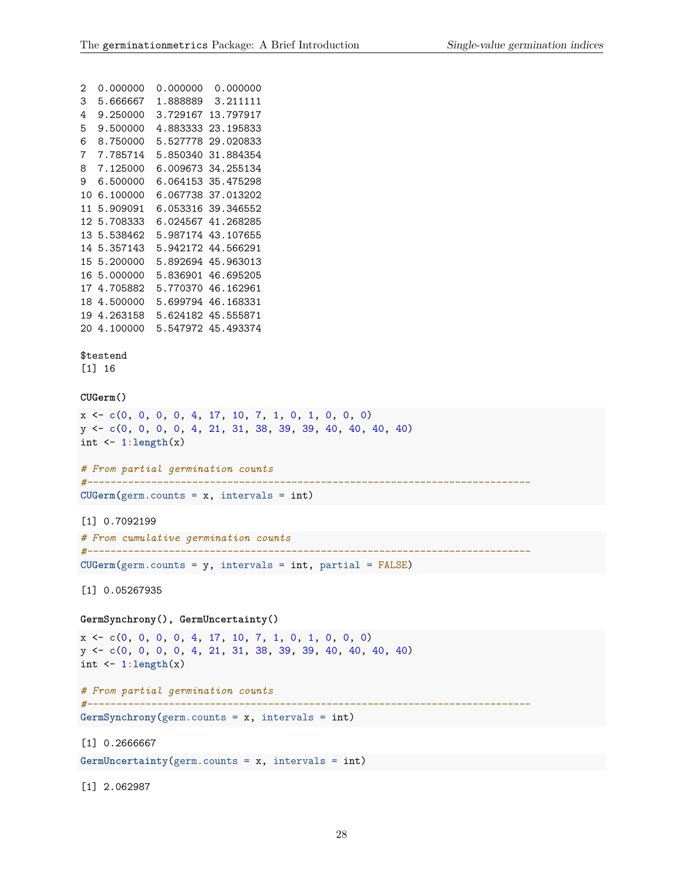```
2 0.000000 0.000000 0.000000
3 5.666667 1.888889 3.211111
4 9.250000 3.729167 13.797917
5 9.500000 4.883333 23.195833
6 8.750000 5.527778 29.020833
7 7.785714 5.850340 31.884354
8 7.125000 6.009673 34.255134
9 6.500000 6.064153 35.475298
10 6.100000 6.067738 37.013202
11 5.909091 6.053316 39.346552
12 5.708333 6.024567 41.268285
13 5.538462 5.987174 43.107655
14 5.357143 5.942172 44.566291
15 5.200000 5.892694 45.963013
16 5.000000 5.836901 46.695205
17 4.705882 5.770370 46.162961
18 4.500000 5.699794 46.168331
19 4.263158 5.624182 45.555871
20 4.100000 5.547972 45.493374
$testend
[1] 16
CUGerm()
x <- c(0, 0, 0, 0, 4, 17, 10, 7, 1, 0, 1, 0, 0, 0)
y <- c(0, 0, 0, 0, 4, 21, 31, 38, 39, 39, 40, 40, 40, 40)
int <- 1:length(x)
# From partial germination counts
#----------------------------------------------------------------------------
CUGerm(germ.counts = x, intervals = int)[1] 0.7092199
# From cumulative germination counts
#----------------------------------------------------------------------------
CUGerm(germ.counts = y, intervals = int, partial = FALSE)
[1] 0.05267935
GermSynchrony(), GermUncertainty()
x <- c(0, 0, 0, 0, 4, 17, 10, 7, 1, 0, 1, 0, 0, 0)
y <- c(0, 0, 0, 0, 4, 21, 31, 38, 39, 39, 40, 40, 40, 40)
int <- 1:length(x)
# From partial germination counts
#----------------------------------------------------------------------------
GermSynchrony(germ.counts = x, intervals = int)
[1] 0.2666667
GermUncertainty(germ.counts = x, intervals = int)
```
[1] 2.062987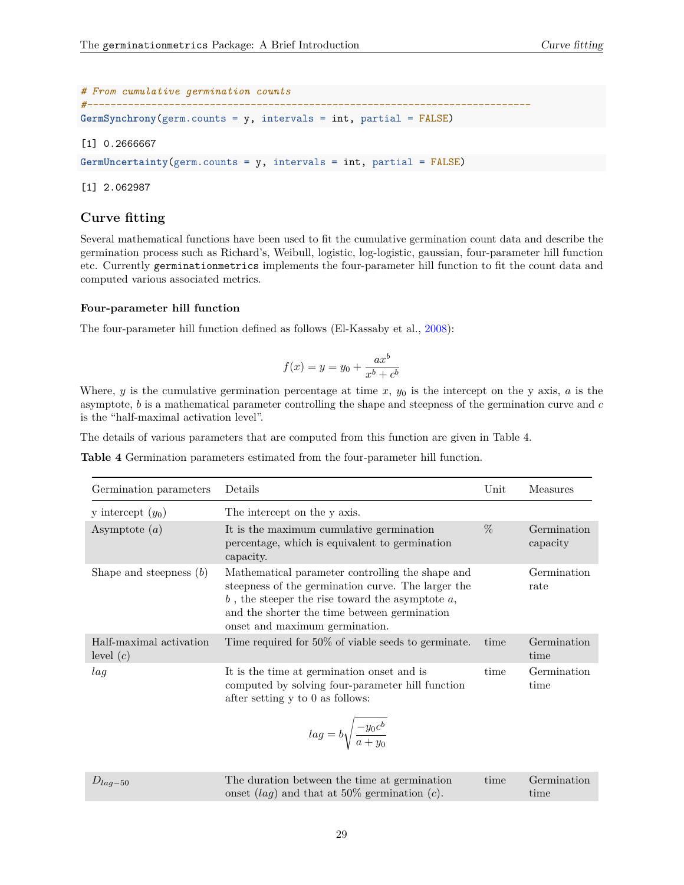| # From cumulative germination counts |                                                                    |
|--------------------------------------|--------------------------------------------------------------------|
|                                      |                                                                    |
|                                      | $GermSynchrony(germ.counts = y, intervals = int, partial = FALSE)$ |
|                                      |                                                                    |

#### [1] 0.2666667

**GermUncertainty**(germ.counts = y, intervals = int, partial = FALSE)

[1] 2.062987

## <span id="page-28-0"></span>**Curve fitting**

Several mathematical functions have been used to fit the cumulative germination count data and describe the germination process such as Richard's, Weibull, logistic, log-logistic, gaussian, four-parameter hill function etc. Currently germinationmetrics implements the four-parameter hill function to fit the count data and computed various associated metrics.

#### <span id="page-28-1"></span>**Four-parameter hill function**

The four-parameter hill function defined as follows (El-Kassaby et al., [2008\)](#page-43-19):

$$
f(x) = y = y_0 + \frac{ax^b}{x^b + c^b}
$$

Where,  $y$  is the cumulative germination percentage at time  $x$ ,  $y_0$  is the intercept on the y axis,  $a$  is the asymptote, *b* is a mathematical parameter controlling the shape and steepness of the germination curve and *c* is the "half-maximal activation level".

The details of various parameters that are computed from this function are given in Table 4.

**Table 4** Germination parameters estimated from the four-parameter hill function.

| Germination parameters                 | Details                                                                                                                                                                                                                                           | Unit | Measures                |
|----------------------------------------|---------------------------------------------------------------------------------------------------------------------------------------------------------------------------------------------------------------------------------------------------|------|-------------------------|
| y intercept $(y_0)$                    | The intercept on the y axis.                                                                                                                                                                                                                      |      |                         |
| Asymptote $(a)$                        | It is the maximum cumulative germination<br>percentage, which is equivalent to germination<br>capacity.                                                                                                                                           | $\%$ | Germination<br>capacity |
| Shape and steepness $(b)$              | Mathematical parameter controlling the shape and<br>steepness of the germination curve. The larger the<br>$b$ , the steeper the rise toward the asymptote $a$ ,<br>and the shorter the time between germination<br>onset and maximum germination. |      | Germination<br>rate     |
| Half-maximal activation<br>level $(c)$ | Time required for 50% of viable seeds to germinate.                                                                                                                                                                                               | time | Germination<br>time     |
| laq                                    | It is the time at germination onset and is<br>computed by solving four-parameter hill function<br>after setting y to 0 as follows:<br>$lag = b \sqrt{\frac{-y_0 c^b}{a + y_0}}$                                                                   | time | Germination<br>time     |

| $D_{lag-50}$ | The duration between the time at germination            | time | Germination |
|--------------|---------------------------------------------------------|------|-------------|
|              | onset $(lag)$ and that at 50% germination ( <i>c</i> ). |      | time        |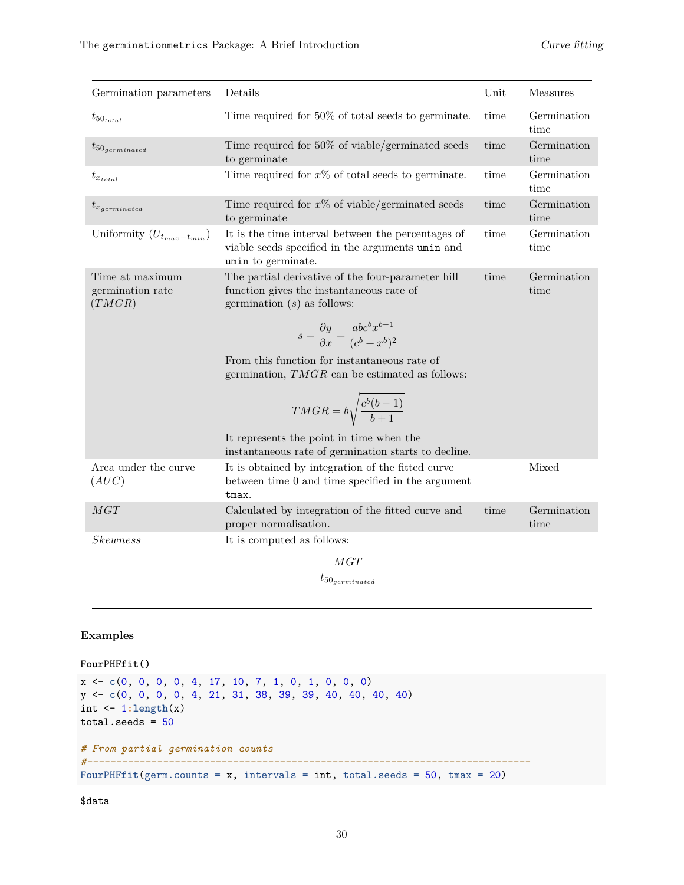| Germination parameters                        | Details                                                                                                                        | Unit | Measures            |
|-----------------------------------------------|--------------------------------------------------------------------------------------------------------------------------------|------|---------------------|
| $t_{50_{total}}$                              | Time required for 50% of total seeds to germinate.                                                                             | time | Germination<br>time |
| $t_{50$ <sub>germinated</sub>                 | Time required for 50% of viable/germinated seeds<br>to germinate                                                               | time | Germination<br>time |
| $t_{x_{total}}$                               | Time required for $x\%$ of total seeds to germinate.                                                                           | time | Germination<br>time |
| $t_{x_{germinated}}$                          | Time required for $x\%$ of viable/germinated seeds<br>to germinate                                                             | time | Germination<br>time |
| Uniformity $(U_{t_{max}-t_{min}})$            | It is the time interval between the percentages of<br>viable seeds specified in the arguments umin and<br>umin to germinate.   | time | Germination<br>time |
| Time at maximum<br>germination rate<br>(TMGR) | The partial derivative of the four-parameter hill<br>function gives the instantaneous rate of<br>germination $(s)$ as follows: | time | Germination<br>time |
|                                               | $s = \frac{\partial y}{\partial x} = \frac{abc^b x^{b-1}}{(c^b + x^b)^2}$                                                      |      |                     |
|                                               | From this function for instantaneous rate of<br>germination, $TMGR$ can be estimated as follows:                               |      |                     |
|                                               | $T MGR = b \sqrt{\frac{c^b(b-1)}{b+1}}$                                                                                        |      |                     |
|                                               | It represents the point in time when the<br>instantaneous rate of germination starts to decline.                               |      |                     |
| Area under the curve<br>(AUC)                 | It is obtained by integration of the fitted curve<br>between time 0 and time specified in the argument<br>tmax.                |      | Mixed               |
| MGT                                           | Calculated by integration of the fitted curve and<br>proper normalisation.                                                     | time | Germination<br>time |
| Skewness                                      | It is computed as follows:                                                                                                     |      |                     |
|                                               | $\frac{MGT}{t_{50_{germinated}}}$                                                                                              |      |                     |

## **Examples**

**FourPHFfit()**

```
x <- c(0, 0, 0, 0, 4, 17, 10, 7, 1, 0, 1, 0, 0, 0)
y <- c(0, 0, 0, 0, 4, 21, 31, 38, 39, 39, 40, 40, 40, 40)
int <- 1:length(x)
total.seeds = 50# From partial germination counts
#----------------------------------------------------------------------------
FourPHFfit(germ.counts = x, intervals = int, total.seeds = 50, tmax = 20)
```
\$data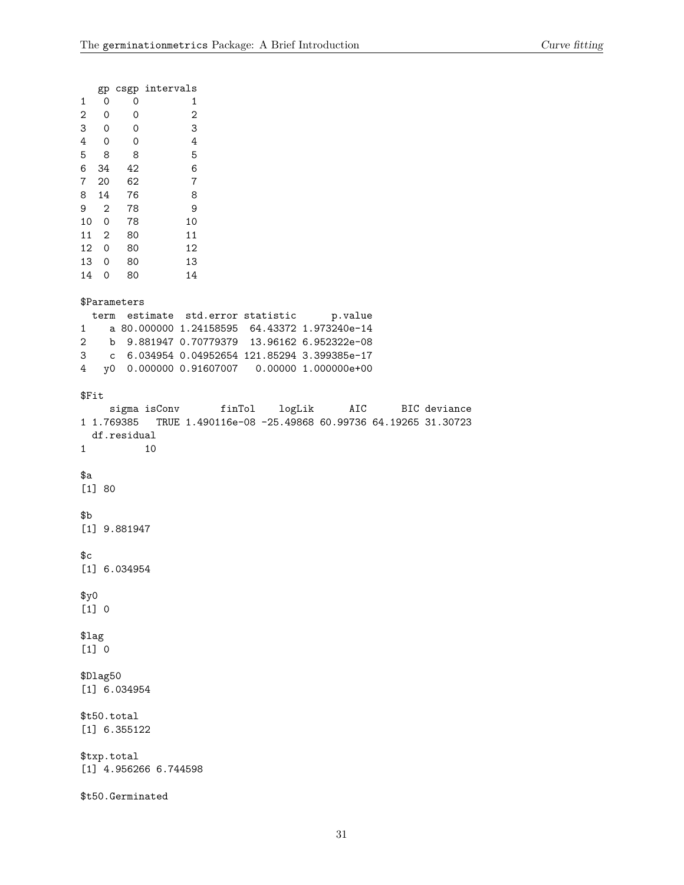| 1<br>2<br>3<br>4<br>5<br>6<br>7<br>8<br>9<br>10<br>11<br>12<br>13<br>14 | 0<br>0<br>$\overline{\phantom{0}}$<br>$\overline{\phantom{0}}$<br>8 <sup>8</sup><br>34<br>20<br>14<br>$\mathbf{2}$<br>0<br>$\overline{2}$<br>$\mathsf{O}$<br>0<br>0 | 0<br>0<br>0<br>$\overline{\phantom{0}}$<br>8<br>42<br>62<br>76<br>78<br>78<br>- 80<br>80<br>80<br>80 | gp csgp intervals       | 1<br>$\mathbf 2$<br>3<br>4<br>5<br>6<br>7<br>8<br>9<br>10<br>11<br>12<br>13<br>14                                                                                                                                            |  |         |                  |
|-------------------------------------------------------------------------|---------------------------------------------------------------------------------------------------------------------------------------------------------------------|------------------------------------------------------------------------------------------------------|-------------------------|------------------------------------------------------------------------------------------------------------------------------------------------------------------------------------------------------------------------------|--|---------|------------------|
| $\mathbf{1}$<br>3<br>4                                                  | term                                                                                                                                                                | \$Parameters                                                                                         |                         | estimate std.error statistic<br>a 80.000000 1.24158595 64.43372 1.973240e-14<br>2 b 9.881947 0.70779379 13.96162 6.952322e-08<br>c 6.034954 0.04952654 121.85294 3.399385e-17<br>y0 0.000000 0.91607007 0.00000 1.000000e+00 |  | p.value |                  |
| \$Fit<br>1                                                              |                                                                                                                                                                     | df.residual                                                                                          | 10                      | sigma isConv finTol logLik<br>1 1.769385 TRUE 1.490116e-08 -25.49868 60.99736 64.19265 31.30723                                                                                                                              |  |         | AIC BIC deviance |
| \$а                                                                     | $[1] 80$                                                                                                                                                            |                                                                                                      |                         |                                                                                                                                                                                                                              |  |         |                  |
| \$Ъ                                                                     |                                                                                                                                                                     | [1] 9.881947                                                                                         |                         |                                                                                                                                                                                                                              |  |         |                  |
| \$c                                                                     |                                                                                                                                                                     | $[1]$ 6.034954                                                                                       |                         |                                                                                                                                                                                                                              |  |         |                  |
| \$y0                                                                    | $[1] 0$                                                                                                                                                             |                                                                                                      |                         |                                                                                                                                                                                                                              |  |         |                  |
| \$lag                                                                   | $[1] 0$                                                                                                                                                             |                                                                                                      |                         |                                                                                                                                                                                                                              |  |         |                  |
|                                                                         | \$Dlag50                                                                                                                                                            | $[1]$ 6.034954                                                                                       |                         |                                                                                                                                                                                                                              |  |         |                  |
|                                                                         |                                                                                                                                                                     | \$t50.total<br>$[1]$ 6.355122                                                                        |                         |                                                                                                                                                                                                                              |  |         |                  |
|                                                                         |                                                                                                                                                                     | \$txp.total                                                                                          | $[1]$ 4.956266 6.744598 |                                                                                                                                                                                                                              |  |         |                  |

\$t50.Germinated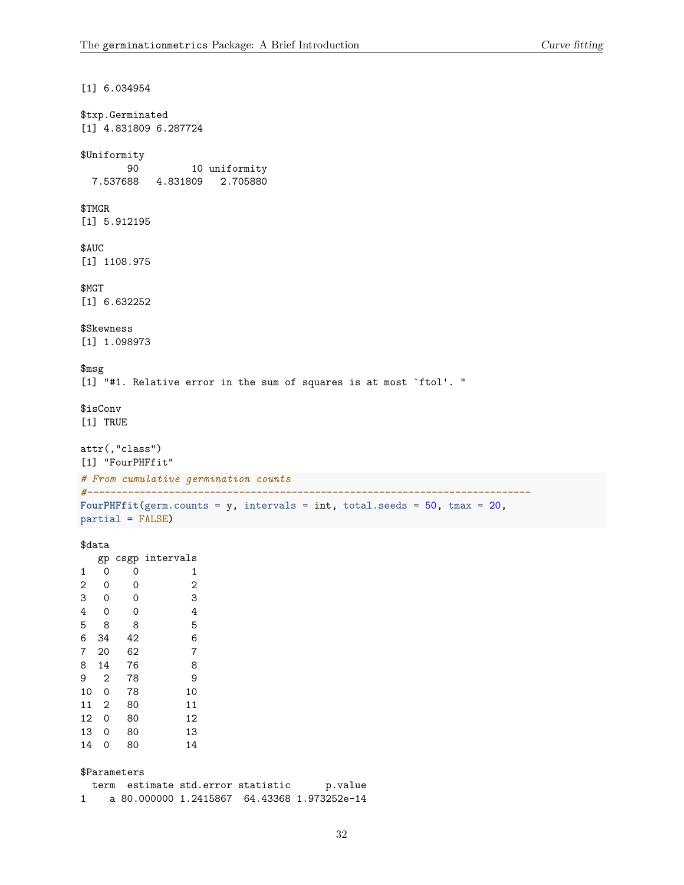```
[1] 6.034954
$txp.Germinated
[1] 4.831809 6.287724
$Uniformity
      90 10 uniformity
 7.537688 4.831809 2.705880
$TMGR
[1] 5.912195
$AUC
[1] 1108.975
$MGT
[1] 6.632252
$Skewness
[1] 1.098973
$msg
[1] "#1. Relative error in the sum of squares is at most `ftol'. "
$isConv
[1] TRUE
attr(,"class")
[1] "FourPHFfit"
# From cumulative germination counts
#----------------------------------------------------------------------------
FourPHFfit(germ.counts = y, intervals = int, total.seeds = 50, tmax = 20,
partial = FALSE)
$data
  gp csgp intervals
1 0 0 1
2 0 0 2
3 0 0 3
4 0 0 4
5 8 8 5
6 34 42 6
7 20 62 7
8 14 76 8
9 2 78 9
10 0 78 10
11 2 80 11
12 0 80 12
13 0 80 13
14 0 80 14
$Parameters
```
term estimate std.error statistic p.value 1 a 80.000000 1.2415867 64.43368 1.973252e-14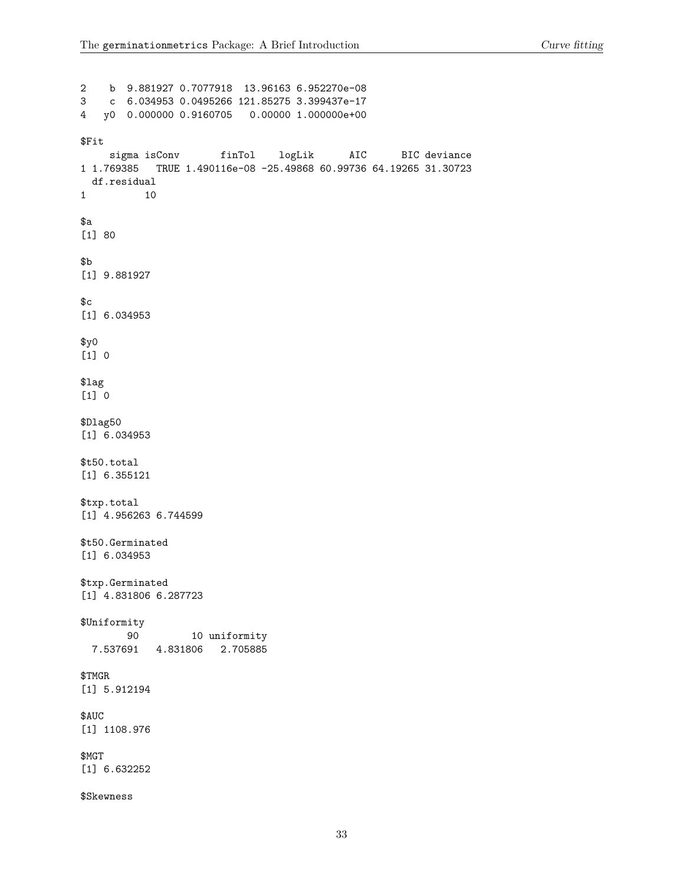2 b 9.881927 0.7077918 13.96163 6.952270e-08 3 c 6.034953 0.0495266 121.85275 3.399437e-17 4 y0 0.000000 0.9160705 0.00000 1.000000e+00 \$Fit sigma isConv finTol logLik AIC BIC deviance 1 1.769385 TRUE 1.490116e-08 -25.49868 60.99736 64.19265 31.30723 df.residual 1 10 \$a [1] 80 \$b [1] 9.881927  $c$ [1] 6.034953  $$y0$ [1] 0 \$lag [1] 0 \$Dlag50 [1] 6.034953 \$t50.total [1] 6.355121 \$txp.total [1] 4.956263 6.744599 \$t50.Germinated [1] 6.034953 \$txp.Germinated [1] 4.831806 6.287723 \$Uniformity 90 10 uniformity 7.537691 4.831806 2.705885 \$TMGR [1] 5.912194 \$AUC [1] 1108.976 \$MGT [1] 6.632252 \$Skewness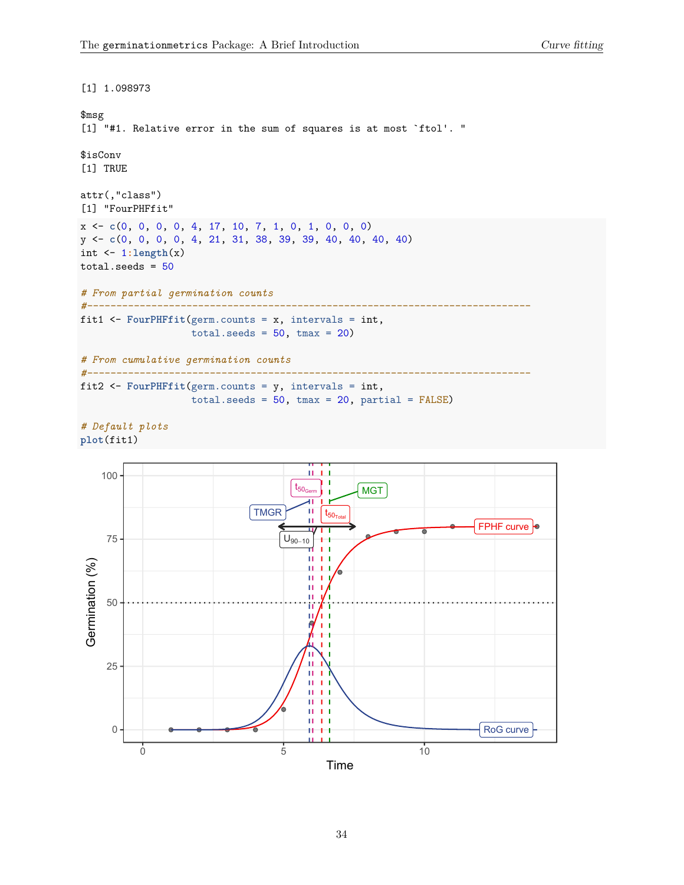```
[1] 1.098973
$msg
[1] "#1. Relative error in the sum of squares is at most `ftol'. "
$isConv
[1] TRUE
attr(,"class")
[1] "FourPHFfit"
x <- c(0, 0, 0, 0, 4, 17, 10, 7, 1, 0, 1, 0, 0, 0)
y <- c(0, 0, 0, 0, 4, 21, 31, 38, 39, 39, 40, 40, 40, 40)
int <- 1:length(x)
total.seeds = 50# From partial germination counts
#----------------------------------------------------------------------------
fit1 <- FourPHFfit(germ.counts = x, intervals = int,
                      total.eeds = 50, tmax = 20)
# From cumulative germination counts
#----------------------------------------------------------------------------
fit2 <- FourPHFfit(germ.counts = y, intervals = int,
                      total.seeds = 50, tmax = 20, partial = FALSE)
```
*# Default plots* **plot**(fit1)

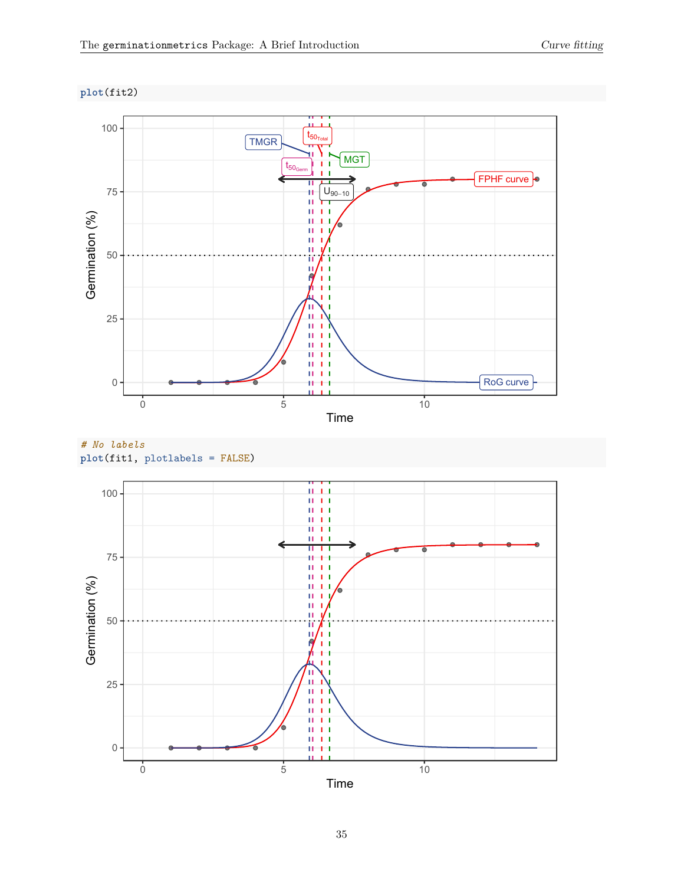**plot**(fit2)



# *# No labels* **plot**(fit1, plotlabels = FALSE)

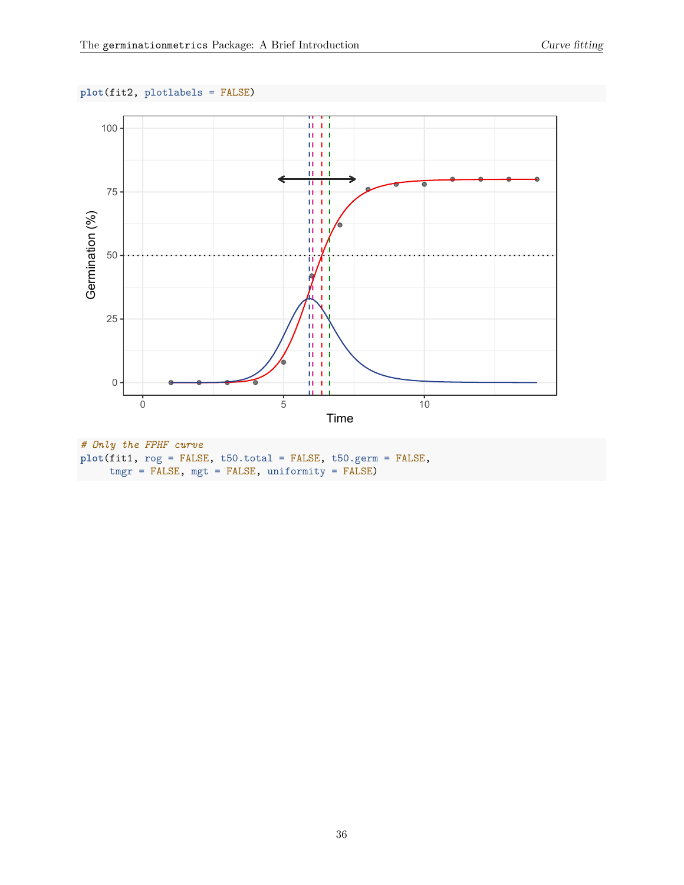### **plot**(fit2, plotlabels = FALSE)



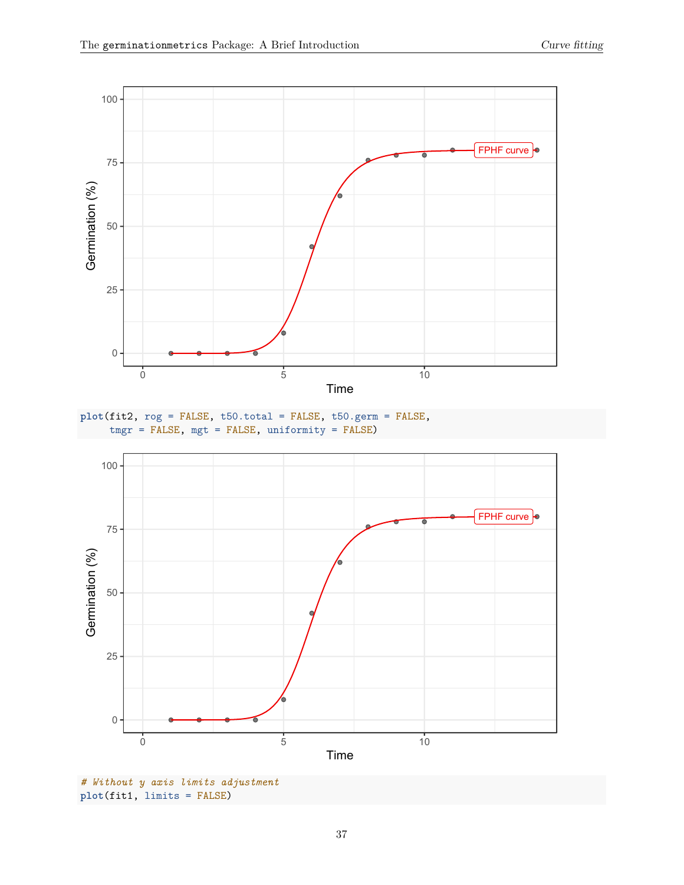





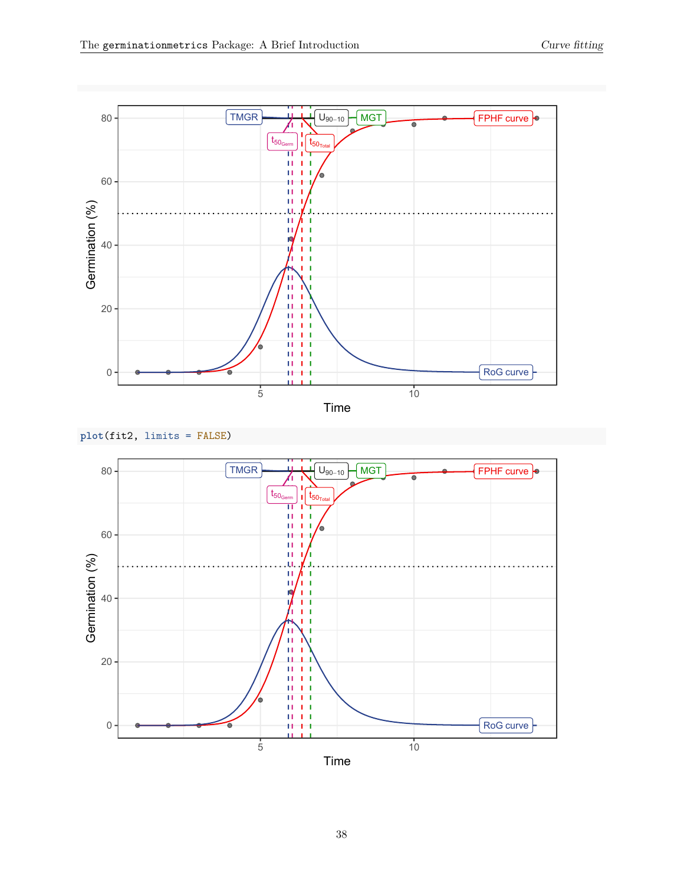





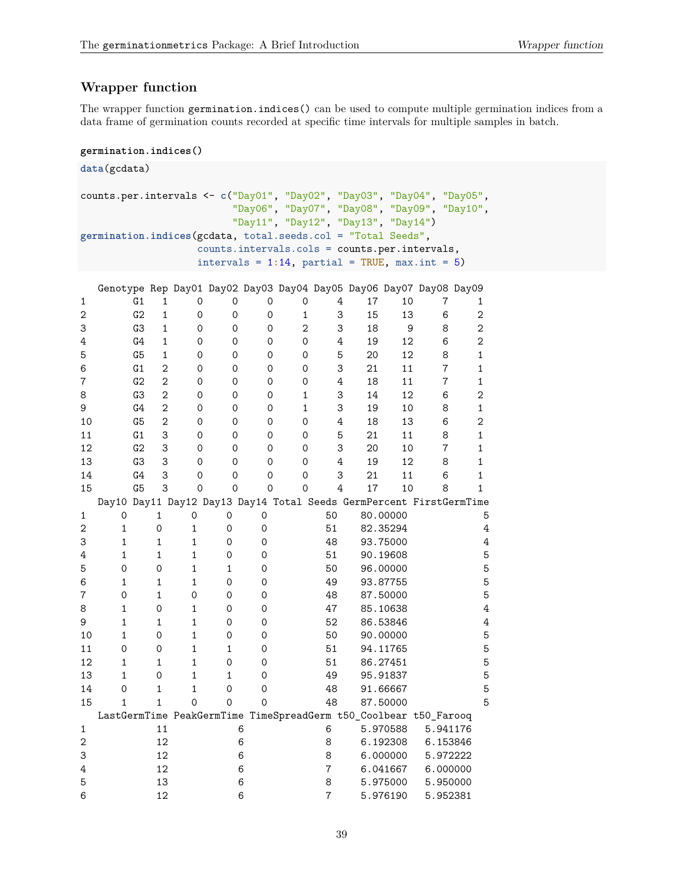# <span id="page-38-0"></span>**Wrapper function**

The wrapper function germination.indices() can be used to compute multiple germination indices from a data frame of germination counts recorded at specific time intervals for multiple samples in batch.

#### **germination.indices()**

```
data(gcdata)
counts.per.intervals <- c("Day01", "Day02", "Day03", "Day04", "Day05",
            "Day06", "Day07", "Day08", "Day09", "Day10",
            "Day11", "Day12", "Day13", "Day14")
germination.indices(gcdata, total.seeds.col = "Total Seeds",
         counts.intervals.cols = counts.per.intervals,
         intervals = 1:14, partial = TRUE, max.int = 5)Genotype Rep Day01 Day02 Day03 Day04 Day05 Day06 Day07 Day08 Day09
1 G1 1 0 0 0 0 4 17 10 7 1
2 G2 1 0 0 0 1 3 15 13 6 2
3 G3 1 0 0 0 2 3 18 9 8 2
4 G4 1 0 0 0 0 4 19 12 6 2
5 G5 1 0 0 0 0 5 20 12 8 1
6 G1 2 0 0 0 0 3 21 11 7 1
7 G2 2 0 0 0 0 4 18 11 7 1
8 G3 2 0 0 0 1 3 14 12 6 2
9 G4 2 0 0 0 1 3 19 10 8 1
10 G5 2 0 0 0 0 4 18 13 6 2
11 G1 3 0 0 0 0 5 21 11 8 1
12 G2 3 0 0 0 0 3 20 10 7 1
13 G3 3 0 0 0 0 4 19 12 8 1
14 G4 3 0 0 0 0 3 21 11 6 1
15 G5 3 0 0 0 0 4 17 10 8 1
 Day10 Day11 Day12 Day13 Day14 Total Seeds GermPercent FirstGermTime
1 0 1 0 0 0 50 80.00000 5
2 1 0 1 0 0 51 82.35294 4
3 1 1 1 0 0 48 93.75000 4
4 1 1 1 0 0 51 90.19608 5
5 0 0 1 1 0 50 96.00000 5
6 1 1 1 0 0 49 93.87755 5
7 0 1 0 0 0 48 87.50000 5
8 1 0 1 0 0 47 85.10638 4
9 1 1 1 0 0 52 86.53846 4
10 1 0 1 0 0 50 90.00000 5
11 0 0 1 1 0 51 94.11765 5
12 1 1 1 0 0 51 86.27451 5
13 1 0 1 1 0 49 95.91837 5
14 0 1 1 0 0 48 91.66667 5
15 1 1 0 0 0 48 87.50000 5
 LastGermTime PeakGermTime TimeSpreadGerm t50_Coolbear t50_Farooq
1 11 6 6 5.970588 5.941176
2 12 6 8 6.192308 6.153846
3 12 6 8 6.000000 5.972222
4 12 6 7 6.041667 6.000000
5 13 6 8 5.975000 5.950000
6 12 6 7 5.976190 5.952381
```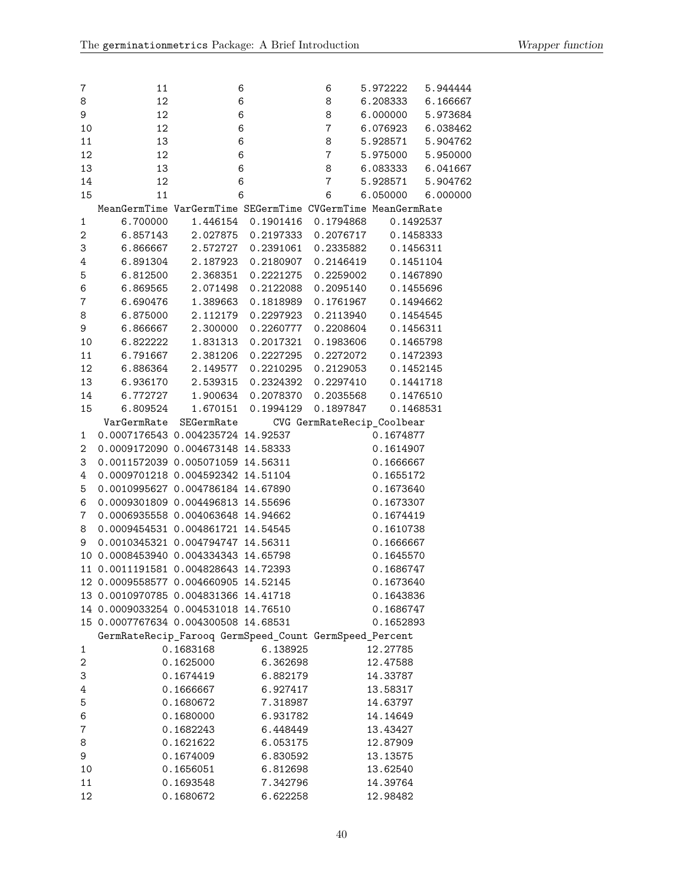| 7              | 11                                                          |            | 6                    | 6                          | 5.972222  | 5.944444 |
|----------------|-------------------------------------------------------------|------------|----------------------|----------------------------|-----------|----------|
| 8              | 12                                                          |            | 6                    | 8                          | 6.208333  | 6.166667 |
| 9              | 12                                                          |            | 6                    | 8                          | 6.000000  | 5.973684 |
| 10             | 12                                                          |            | $\,6$                | $\overline{7}$             | 6.076923  | 6.038462 |
| 11             | 13                                                          |            | $\,6$                | 8                          | 5.928571  | 5.904762 |
| 12             | 12                                                          |            | 6                    | $\bf 7$                    | 5.975000  | 5.950000 |
| 13             | 13                                                          |            | $\,6$                | 8                          | 6.083333  | 6.041667 |
| 14             | 12                                                          |            | $\,6$                | $\overline{7}$             | 5.928571  | 5.904762 |
| 15             | 11                                                          |            | 6                    | 6                          | 6.050000  | 6.000000 |
|                | MeanGermTime VarGermTime SEGermTime CVGermTime MeanGermRate |            |                      |                            |           |          |
| $\mathbf{1}$   | 6.700000                                                    | 1.446154   | 0.1901416  0.1794868 |                            | 0.1492537 |          |
| $\mathbf 2$    | 6.857143                                                    |            | 2.027875 0.2197333   | 0.2076717                  | 0.1458333 |          |
| 3              | 6.866667                                                    |            | 2.572727 0.2391061   | 0.2335882                  | 0.1456311 |          |
| 4              | 6.891304                                                    | 2.187923   | 0.2180907            | 0.2146419                  | 0.1451104 |          |
| 5              | 6.812500                                                    | 2.368351   | 0.2221275            | 0.2259002                  | 0.1467890 |          |
| $\,6$          | 6.869565                                                    | 2.071498   | 0.2122088            | 0.2095140                  | 0.1455696 |          |
| $\overline{7}$ | 6.690476                                                    | 1.389663   | 0.1818989            | 0.1761967                  | 0.1494662 |          |
| 8              | 6.875000                                                    | 2.112179   | 0.2297923            | 0.2113940                  | 0.1454545 |          |
| 9              | 6.866667                                                    | 2.300000   | 0.2260777            | 0.2208604                  | 0.1456311 |          |
| 10             | 6.822222                                                    | 1.831313   | 0.2017321            | 0.1983606                  | 0.1465798 |          |
| 11             | 6.791667                                                    | 2.381206   | 0.2227295            | 0.2272072                  | 0.1472393 |          |
| 12             | 6.886364                                                    | 2.149577   | 0.2210295            | 0.2129053                  | 0.1452145 |          |
| 13             | 6.936170                                                    | 2.539315   | 0.2324392            | 0.2297410                  | 0.1441718 |          |
| 14             | 6.772727                                                    |            | 1.900634 0.2078370   | 0.2035568                  | 0.1476510 |          |
| 15             | 6.809524                                                    | 1.670151   | 0.1994129            | 0.1897847                  | 0.1468531 |          |
|                | VarGermRate                                                 | SEGermRate |                      | CVG GermRateRecip_Coolbear |           |          |
| 1              | 0.0007176543 0.004235724 14.92537                           |            |                      |                            | 0.1674877 |          |
| 2              | 0.0009172090 0.004673148 14.58333                           |            |                      |                            | 0.1614907 |          |
| 3              | 0.0011572039 0.005071059 14.56311                           |            |                      |                            | 0.1666667 |          |
| 4              | 0.0009701218 0.004592342 14.51104                           |            |                      |                            | 0.1655172 |          |
| 5              | 0.0010995627 0.004786184 14.67890                           |            |                      |                            | 0.1673640 |          |
| 6              | 0.0009301809 0.004496813 14.55696                           |            |                      |                            | 0.1673307 |          |
|                |                                                             |            |                      |                            |           |          |
| 7              | 0.0006935558 0.004063648 14.94662                           |            |                      |                            | 0.1674419 |          |
| 8              | 0.0009454531 0.004861721 14.54545                           |            |                      |                            | 0.1610738 |          |
| 9              | 0.0010345321 0.004794747 14.56311                           |            |                      |                            | 0.1666667 |          |
|                | 10 0.0008453940 0.004334343 14.65798                        |            |                      |                            | 0.1645570 |          |
|                | 11 0.0011191581 0.004828643 14.72393                        |            |                      |                            | 0.1686747 |          |
|                | 12 0.0009558577 0.004660905 14.52145                        |            |                      |                            | 0.1673640 |          |
|                | 13 0.0010970785 0.004831366 14.41718                        |            |                      |                            | 0.1643836 |          |
|                | 14 0.0009033254 0.004531018 14.76510                        |            |                      |                            | 0.1686747 |          |
|                | 15 0.0007767634 0.004300508 14.68531                        |            |                      |                            | 0.1652893 |          |
|                | GermRateRecip_Farooq GermSpeed_Count GermSpeed_Percent      |            |                      |                            |           |          |
| 1              |                                                             | 0.1683168  | 6.138925             |                            | 12.27785  |          |
| 2              |                                                             | 0.1625000  | 6.362698             |                            | 12.47588  |          |
| 3              |                                                             | 0.1674419  | 6.882179             |                            | 14.33787  |          |
| 4              |                                                             | 0.1666667  | 6.927417             |                            | 13.58317  |          |
| 5              |                                                             | 0.1680672  | 7.318987             |                            | 14.63797  |          |
| 6              |                                                             | 0.1680000  | 6.931782             |                            | 14.14649  |          |
| 7              |                                                             | 0.1682243  | 6.448449             |                            | 13.43427  |          |
| 8              |                                                             | 0.1621622  | 6.053175             |                            | 12.87909  |          |
| 9              |                                                             | 0.1674009  | 6.830592             |                            | 13.13575  |          |
| 10             |                                                             | 0.1656051  | 6.812698             |                            | 13.62540  |          |
| 11             |                                                             | 0.1693548  | 7.342796             |                            | 14.39764  |          |
| 12             |                                                             | 0.1680672  | 6.622258             |                            | 12.98482  |          |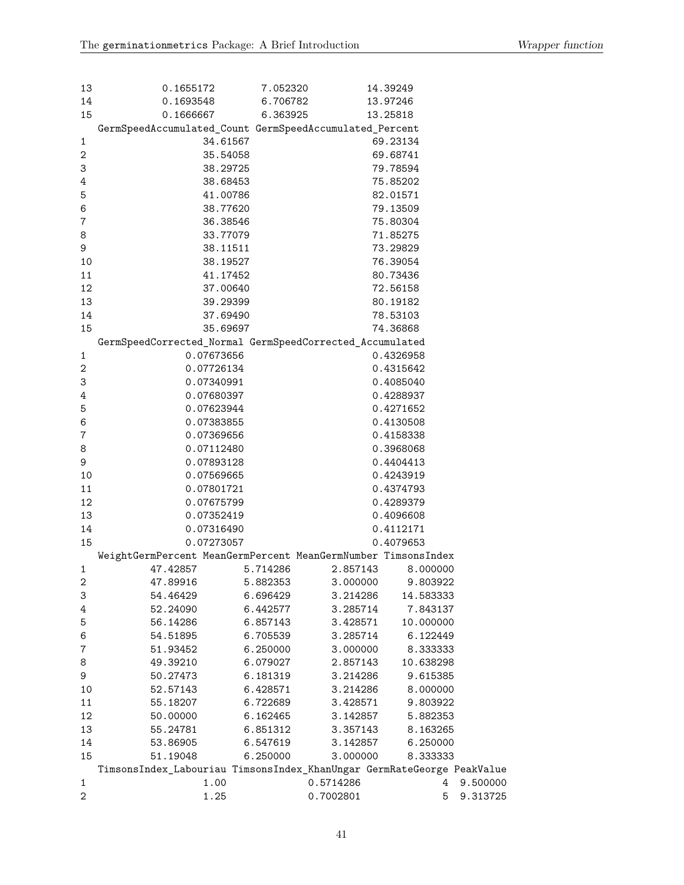| 14<br>0.1693548<br>6.706782<br>13.97246<br>15<br>0.1666667<br>6.363925<br>13.25818<br>GermSpeedAccumulated_Count GermSpeedAccumulated_Percent<br>34.61567<br>1<br>69.23134<br>$\mathbf 2$<br>35.54058<br>69.68741<br>3<br>38.29725<br>79.78594<br>4<br>75.85202<br>38.68453<br>5<br>41.00786<br>82.01571<br>6<br>38.77620<br>79.13509<br>$\bf 7$<br>36.38546<br>75.80304<br>8<br>33.77079<br>71.85275<br>9<br>38.11511<br>73.29829<br>10<br>38.19527<br>76.39054<br>11<br>41.17452<br>80.73436<br>12<br>37.00640<br>72.56158<br>13<br>39.29399<br>80.19182<br>14<br>37.69490<br>78.53103<br>15<br>35.69697<br>74.36868<br>GermSpeedCorrected_Normal GermSpeedCorrected_Accumulated<br>$\mathbf{1}$<br>0.07673656<br>0.4326958<br>$\mathbf 2$<br>0.07726134<br>0.4315642<br>3<br>0.07340991<br>0.4085040<br>4<br>0.07680397<br>0.4288937 |
|-----------------------------------------------------------------------------------------------------------------------------------------------------------------------------------------------------------------------------------------------------------------------------------------------------------------------------------------------------------------------------------------------------------------------------------------------------------------------------------------------------------------------------------------------------------------------------------------------------------------------------------------------------------------------------------------------------------------------------------------------------------------------------------------------------------------------------------------|
|                                                                                                                                                                                                                                                                                                                                                                                                                                                                                                                                                                                                                                                                                                                                                                                                                                         |
|                                                                                                                                                                                                                                                                                                                                                                                                                                                                                                                                                                                                                                                                                                                                                                                                                                         |
|                                                                                                                                                                                                                                                                                                                                                                                                                                                                                                                                                                                                                                                                                                                                                                                                                                         |
|                                                                                                                                                                                                                                                                                                                                                                                                                                                                                                                                                                                                                                                                                                                                                                                                                                         |
|                                                                                                                                                                                                                                                                                                                                                                                                                                                                                                                                                                                                                                                                                                                                                                                                                                         |
|                                                                                                                                                                                                                                                                                                                                                                                                                                                                                                                                                                                                                                                                                                                                                                                                                                         |
|                                                                                                                                                                                                                                                                                                                                                                                                                                                                                                                                                                                                                                                                                                                                                                                                                                         |
|                                                                                                                                                                                                                                                                                                                                                                                                                                                                                                                                                                                                                                                                                                                                                                                                                                         |
|                                                                                                                                                                                                                                                                                                                                                                                                                                                                                                                                                                                                                                                                                                                                                                                                                                         |
|                                                                                                                                                                                                                                                                                                                                                                                                                                                                                                                                                                                                                                                                                                                                                                                                                                         |
|                                                                                                                                                                                                                                                                                                                                                                                                                                                                                                                                                                                                                                                                                                                                                                                                                                         |
|                                                                                                                                                                                                                                                                                                                                                                                                                                                                                                                                                                                                                                                                                                                                                                                                                                         |
|                                                                                                                                                                                                                                                                                                                                                                                                                                                                                                                                                                                                                                                                                                                                                                                                                                         |
|                                                                                                                                                                                                                                                                                                                                                                                                                                                                                                                                                                                                                                                                                                                                                                                                                                         |
|                                                                                                                                                                                                                                                                                                                                                                                                                                                                                                                                                                                                                                                                                                                                                                                                                                         |
|                                                                                                                                                                                                                                                                                                                                                                                                                                                                                                                                                                                                                                                                                                                                                                                                                                         |
|                                                                                                                                                                                                                                                                                                                                                                                                                                                                                                                                                                                                                                                                                                                                                                                                                                         |
|                                                                                                                                                                                                                                                                                                                                                                                                                                                                                                                                                                                                                                                                                                                                                                                                                                         |
|                                                                                                                                                                                                                                                                                                                                                                                                                                                                                                                                                                                                                                                                                                                                                                                                                                         |
|                                                                                                                                                                                                                                                                                                                                                                                                                                                                                                                                                                                                                                                                                                                                                                                                                                         |
|                                                                                                                                                                                                                                                                                                                                                                                                                                                                                                                                                                                                                                                                                                                                                                                                                                         |
|                                                                                                                                                                                                                                                                                                                                                                                                                                                                                                                                                                                                                                                                                                                                                                                                                                         |
|                                                                                                                                                                                                                                                                                                                                                                                                                                                                                                                                                                                                                                                                                                                                                                                                                                         |
| 5<br>0.07623944<br>0.4271652                                                                                                                                                                                                                                                                                                                                                                                                                                                                                                                                                                                                                                                                                                                                                                                                            |
| 6<br>0.07383855<br>0.4130508                                                                                                                                                                                                                                                                                                                                                                                                                                                                                                                                                                                                                                                                                                                                                                                                            |
| $\bf 7$<br>0.07369656<br>0.4158338                                                                                                                                                                                                                                                                                                                                                                                                                                                                                                                                                                                                                                                                                                                                                                                                      |
| 8<br>0.07112480<br>0.3968068                                                                                                                                                                                                                                                                                                                                                                                                                                                                                                                                                                                                                                                                                                                                                                                                            |
| 9<br>0.07893128<br>0.4404413                                                                                                                                                                                                                                                                                                                                                                                                                                                                                                                                                                                                                                                                                                                                                                                                            |
| 10<br>0.07569665<br>0.4243919                                                                                                                                                                                                                                                                                                                                                                                                                                                                                                                                                                                                                                                                                                                                                                                                           |
| 11<br>0.07801721<br>0.4374793                                                                                                                                                                                                                                                                                                                                                                                                                                                                                                                                                                                                                                                                                                                                                                                                           |
| 12<br>0.07675799<br>0.4289379                                                                                                                                                                                                                                                                                                                                                                                                                                                                                                                                                                                                                                                                                                                                                                                                           |
| 13<br>0.07352419<br>0.4096608                                                                                                                                                                                                                                                                                                                                                                                                                                                                                                                                                                                                                                                                                                                                                                                                           |
| 14<br>0.07316490<br>0.4112171                                                                                                                                                                                                                                                                                                                                                                                                                                                                                                                                                                                                                                                                                                                                                                                                           |
| 15<br>0.07273057<br>0.4079653                                                                                                                                                                                                                                                                                                                                                                                                                                                                                                                                                                                                                                                                                                                                                                                                           |
| WeightGermPercent MeanGermPercent MeanGermNumber TimsonsIndex                                                                                                                                                                                                                                                                                                                                                                                                                                                                                                                                                                                                                                                                                                                                                                           |
| 47.42857<br>5.714286<br>2.857143<br>1<br>8.000000                                                                                                                                                                                                                                                                                                                                                                                                                                                                                                                                                                                                                                                                                                                                                                                       |
| $\boldsymbol{2}$<br>47.89916<br>5.882353 3.000000 9.803922                                                                                                                                                                                                                                                                                                                                                                                                                                                                                                                                                                                                                                                                                                                                                                              |
| 3<br>14.583333<br>54.46429<br>6.696429<br>3.214286                                                                                                                                                                                                                                                                                                                                                                                                                                                                                                                                                                                                                                                                                                                                                                                      |
| $\ensuremath{4}$<br>7.843137<br>52.24090<br>6.442577<br>3.285714                                                                                                                                                                                                                                                                                                                                                                                                                                                                                                                                                                                                                                                                                                                                                                        |
| 5<br>56.14286<br>10.000000<br>6.857143<br>3.428571                                                                                                                                                                                                                                                                                                                                                                                                                                                                                                                                                                                                                                                                                                                                                                                      |
| 6<br>54.51895<br>6.705539<br>3.285714<br>6.122449                                                                                                                                                                                                                                                                                                                                                                                                                                                                                                                                                                                                                                                                                                                                                                                       |
| $\boldsymbol{7}$<br>51.93452<br>6.250000<br>3.000000<br>8.333333<br>8<br>49.39210<br>2.857143<br>10.638298<br>6.079027                                                                                                                                                                                                                                                                                                                                                                                                                                                                                                                                                                                                                                                                                                                  |
| 9<br>50.27473<br>6.181319<br>3.214286<br>9.615385                                                                                                                                                                                                                                                                                                                                                                                                                                                                                                                                                                                                                                                                                                                                                                                       |
| 10<br>52.57143<br>6.428571<br>3.214286<br>8.000000                                                                                                                                                                                                                                                                                                                                                                                                                                                                                                                                                                                                                                                                                                                                                                                      |
| $11\,$<br>55.18207<br>6.722689<br>3.428571<br>9.803922                                                                                                                                                                                                                                                                                                                                                                                                                                                                                                                                                                                                                                                                                                                                                                                  |
| 12<br>50.00000<br>6.162465<br>3.142857<br>5.882353                                                                                                                                                                                                                                                                                                                                                                                                                                                                                                                                                                                                                                                                                                                                                                                      |
| 13<br>55.24781<br>6.851312<br>3.357143<br>8.163265                                                                                                                                                                                                                                                                                                                                                                                                                                                                                                                                                                                                                                                                                                                                                                                      |
| 14<br>53.86905<br>6.547619<br>3.142857<br>6.250000                                                                                                                                                                                                                                                                                                                                                                                                                                                                                                                                                                                                                                                                                                                                                                                      |
| 15<br>6.250000<br>3.000000<br>51.19048<br>8.333333                                                                                                                                                                                                                                                                                                                                                                                                                                                                                                                                                                                                                                                                                                                                                                                      |
| TimsonsIndex_Labouriau TimsonsIndex_KhanUngar GermRateGeorge PeakValue                                                                                                                                                                                                                                                                                                                                                                                                                                                                                                                                                                                                                                                                                                                                                                  |
| 0.5714286<br>$\overline{4}$<br>1.00<br>9.500000<br>1                                                                                                                                                                                                                                                                                                                                                                                                                                                                                                                                                                                                                                                                                                                                                                                    |
| $\mathbf 2$<br>1.25<br>5<br>0.7002801<br>9.313725                                                                                                                                                                                                                                                                                                                                                                                                                                                                                                                                                                                                                                                                                                                                                                                       |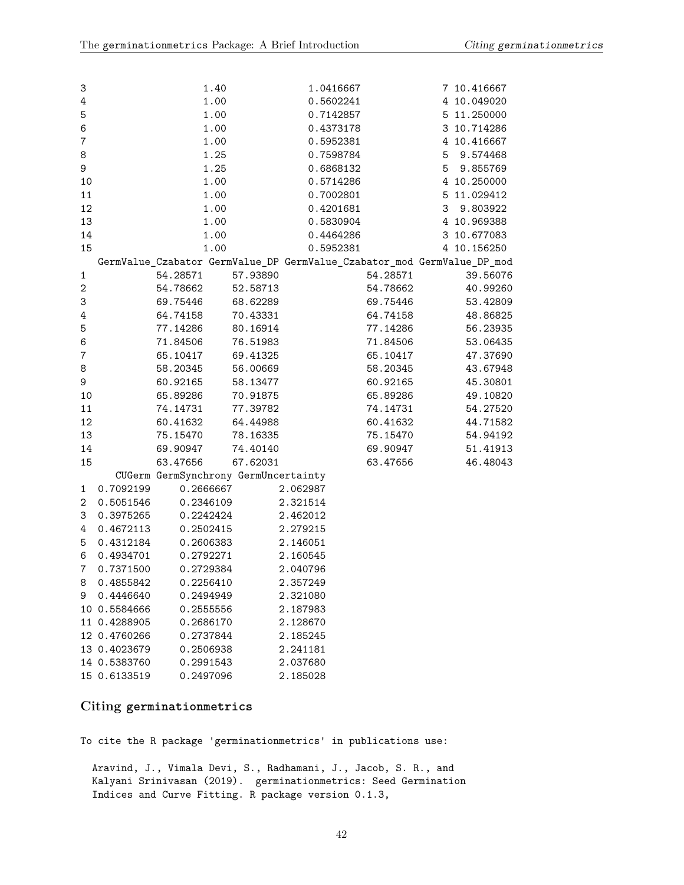| 3                |              | 1.40                                 |          | 1.0416667                                                               |          |                | 7 10.416667 |
|------------------|--------------|--------------------------------------|----------|-------------------------------------------------------------------------|----------|----------------|-------------|
| $\ensuremath{4}$ |              | 1.00                                 |          | 0.5602241                                                               |          |                | 4 10.049020 |
| $\mathbf 5$      |              | 1.00                                 |          | 0.7142857                                                               |          |                | 5 11.250000 |
| $\,6$            |              | 1.00                                 |          | 0.4373178                                                               |          |                | 3 10.714286 |
| $\boldsymbol{7}$ |              | 1.00                                 |          | 0.5952381                                                               |          |                | 4 10.416667 |
| 8                |              | 1.25                                 |          | 0.7598784                                                               |          |                | 5 9.574468  |
| 9                |              | 1.25                                 |          | 0.6868132                                                               |          | 5 <sup>5</sup> | 9.855769    |
| 10               |              | 1.00                                 |          | 0.5714286                                                               |          |                | 4 10.250000 |
| 11               |              | 1.00                                 |          | 0.7002801                                                               |          |                | 5 11.029412 |
| 12               |              | 1.00                                 |          | 0.4201681                                                               |          |                | 3 9.803922  |
| 13               |              | 1.00                                 |          | 0.5830904                                                               |          |                | 4 10.969388 |
| 14               |              | 1.00                                 |          | 0.4464286                                                               |          |                | 3 10.677083 |
| 15               |              | 1.00                                 |          | 0.5952381                                                               |          |                | 4 10.156250 |
|                  |              |                                      |          | GermValue_Czabator GermValue_DP GermValue_Czabator_mod GermValue_DP_mod |          |                |             |
| $\mathbf{1}$     |              | 54.28571                             | 57.93890 |                                                                         | 54.28571 |                | 39.56076    |
| $\boldsymbol{2}$ |              | 54.78662                             | 52.58713 |                                                                         | 54.78662 |                | 40.99260    |
| 3                |              | 69.75446                             | 68.62289 |                                                                         | 69.75446 |                | 53.42809    |
| $\ensuremath{4}$ |              | 64.74158                             | 70.43331 |                                                                         | 64.74158 |                | 48.86825    |
| $\mathbf 5$      |              | 77.14286                             | 80.16914 |                                                                         | 77.14286 |                | 56.23935    |
| $\,6$            |              | 71.84506                             | 76.51983 |                                                                         | 71.84506 |                | 53.06435    |
| $\bf 7$          |              | 65.10417                             | 69.41325 |                                                                         | 65.10417 |                | 47.37690    |
| 8                |              | 58.20345                             | 56.00669 |                                                                         | 58.20345 |                | 43.67948    |
| 9                |              | 60.92165                             | 58.13477 |                                                                         | 60.92165 |                | 45.30801    |
| 10               |              | 65.89286                             | 70.91875 |                                                                         | 65.89286 |                | 49.10820    |
| 11               |              | 74.14731                             | 77.39782 |                                                                         | 74.14731 |                | 54.27520    |
| 12               |              | 60.41632                             | 64.44988 |                                                                         | 60.41632 |                | 44.71582    |
| 13               |              | 75.15470                             | 78.16335 |                                                                         | 75.15470 |                | 54.94192    |
| 14               |              | 69.90947                             | 74.40140 |                                                                         | 69.90947 |                | 51.41913    |
| 15               |              | 63.47656                             | 67.62031 |                                                                         | 63.47656 |                | 46.48043    |
|                  |              | CUGerm GermSynchrony GermUncertainty |          |                                                                         |          |                |             |
| 1                | 0.7092199    | 0.2666667                            |          | 2.062987                                                                |          |                |             |
| $\mathbf{2}$     | 0.5051546    | 0.2346109                            |          | 2.321514                                                                |          |                |             |
| 3                | 0.3975265    | 0.2242424                            |          | 2.462012                                                                |          |                |             |
| 4                | 0.4672113    | 0.2502415                            |          | 2.279215                                                                |          |                |             |
| 5                | 0.4312184    | 0.2606383                            |          | 2.146051                                                                |          |                |             |
| 6                | 0.4934701    | 0.2792271                            |          | 2.160545                                                                |          |                |             |
| 7                | 0.7371500    | 0.2729384                            |          | 2.040796                                                                |          |                |             |
|                  | 8 0.4855842  | 0.2256410                            |          | 2.357249                                                                |          |                |             |
| 9                | 0.4446640    | 0.2494949                            |          | 2.321080                                                                |          |                |             |
|                  | 10 0.5584666 | 0.2555556                            |          | 2.187983                                                                |          |                |             |
|                  | 11 0.4288905 | 0.2686170                            |          | 2.128670                                                                |          |                |             |
|                  | 12 0.4760266 | 0.2737844                            |          | 2.185245                                                                |          |                |             |
|                  | 13 0.4023679 | 0.2506938                            |          | 2.241181                                                                |          |                |             |
|                  | 14 0.5383760 | 0.2991543                            |          | 2.037680                                                                |          |                |             |

## <span id="page-41-0"></span>**Citing germinationmetrics**

15 0.6133519 0.2497096 2.185028

To cite the R package 'germinationmetrics' in publications use:

Aravind, J., Vimala Devi, S., Radhamani, J., Jacob, S. R., and Kalyani Srinivasan (2019). germinationmetrics: Seed Germination Indices and Curve Fitting. R package version 0.1.3,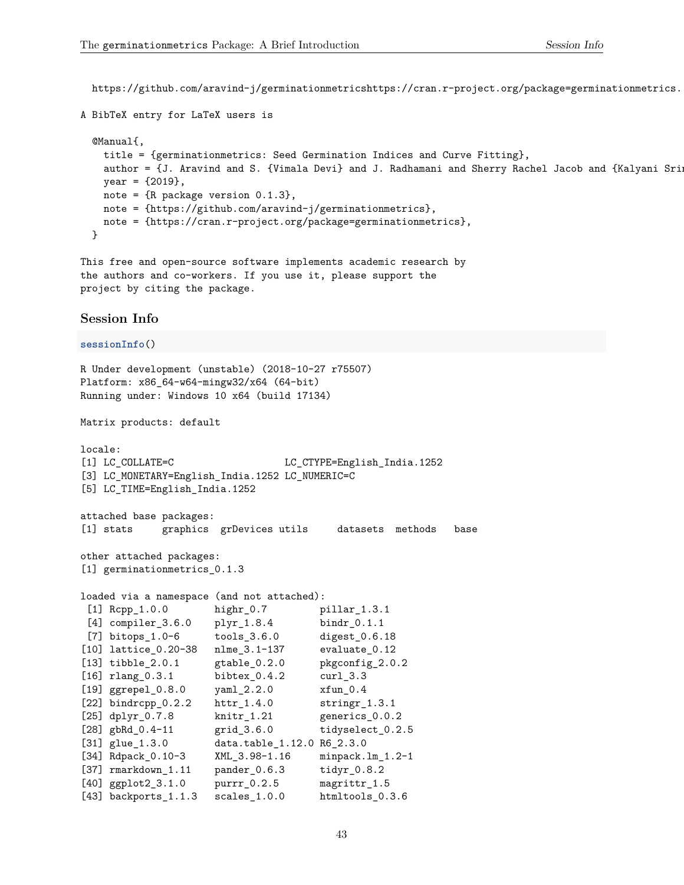https://github.com/aravind-j/germinationmetricshttps://cran.r-project.org/package=germinationmetrics.

```
A BibTeX entry for LaTeX users is
```

```
@Manual{,
 title = {germinationmetrics: Seed Germination Indices and Curve Fitting},
 author = {J. Aravind and S. {Vimala Devi} and J. Radhamani and Sherry Rachel Jacob and {Kalyani Srin
 year = {2019},
 note = {R package version 0.1.3},
 note = {https://github.com/aravind-j/germinationmetrics},
 note = {https://cran.r-project.org/package=germinationmetrics},
}
```
This free and open-source software implements academic research by the authors and co-workers. If you use it, please support the project by citing the package.

### <span id="page-42-0"></span>**Session Info**

```
sessionInfo()
R Under development (unstable) (2018-10-27 r75507)
Platform: x86_64-w64-mingw32/x64 (64-bit)
Running under: Windows 10 x64 (build 17134)
Matrix products: default
locale:
[1] LC COLLATE=C LC CTYPE=English India.1252
[3] LC_MONETARY=English_India.1252 LC_NUMERIC=C
[5] LC_TIME=English_India.1252
attached base packages:
[1] stats graphics grDevices utils datasets methods base
other attached packages:
[1] germinationmetrics_0.1.3
loaded via a namespace (and not attached):
[1] Rcpp_1.0.0 highr_0.7 pillar_1.3.1
[4] compiler_3.6.0 plyr_1.8.4 bindr_0.1.1
[7] bitops_1.0-6 tools_3.6.0 digest_0.6.18
[10] lattice_0.20-38 nlme_3.1-137 evaluate_0.12
[13] tibble_2.0.1 gtable_0.2.0 pkgconfig_2.0.2
[16] rlang_0.3.1 bibtex_0.4.2 curl_3.3<br>[19] ggrepel_0.8.0 yaml_2.2.0 xfun_0.4
[19] ggrepel_0.8.0 yaml_2.2.0 xfun_0.4
[22] bindrcpp_0.2.2 httr_1.4.0 stringr_1.3.1
[25] dplyr_0.7.8 knitr_1.21 generics_0.0.2
[28] gbRd_0.4-11 grid_3.6.0 tidyselect_0.2.5
[31] glue_1.3.0 data.table_1.12.0 R6_2.3.0
[34] Rdpack_0.10-3 XML_3.98-1.16 minpack.lm_1.2-1
[37] rmarkdown_1.11 pander_0.6.3 tidyr_0.8.2
[40] ggplot2_3.1.0 purrr_0.2.5 magrittr_1.5
[43] backports_1.1.3 scales_1.0.0 htmltools_0.3.6
```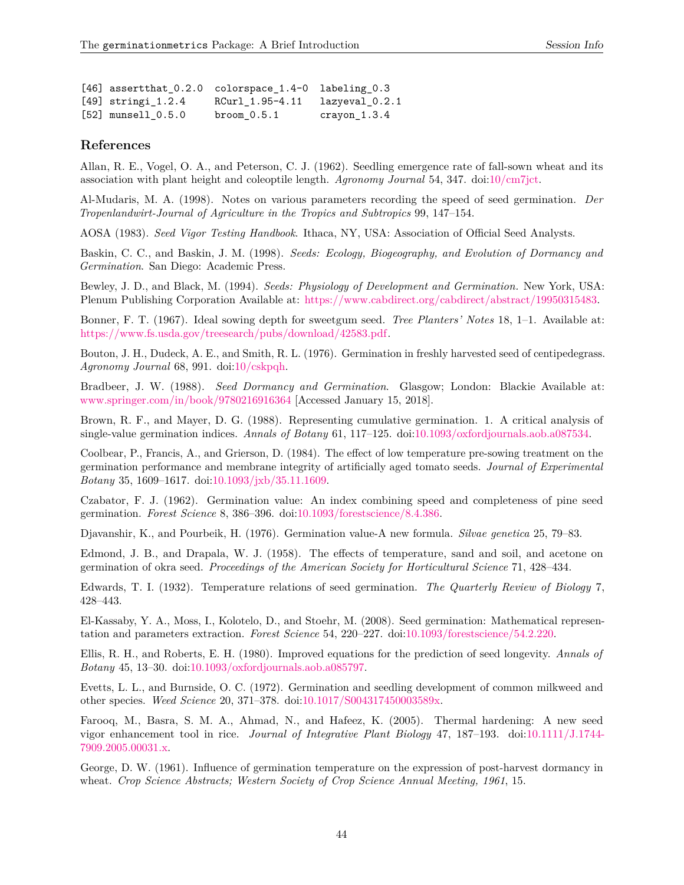<span id="page-43-15"></span><span id="page-43-11"></span><span id="page-43-9"></span><span id="page-43-8"></span><span id="page-43-3"></span>

|                        | [46] assertthat_0.2.0 colorspace_1.4-0 labeling_0.3 |                |
|------------------------|-----------------------------------------------------|----------------|
| $[49]$ stringi $1.2.4$ | RCurl 1.95-4.11                                     | lazyeval 0.2.1 |
| $[52]$ munsell $0.5.0$ | bron 0.5.1                                          | $crayon_1.3.4$ |

### <span id="page-43-17"></span><span id="page-43-0"></span>**References**

<span id="page-43-10"></span>Allan, R. E., Vogel, O. A., and Peterson, C. J. (1962). Seedling emergence rate of fall-sown wheat and its association with plant height and coleoptile length. *Agronomy Journal* 54, 347. doi[:10/cm7jct.](https://doi.org/10/cm7jct)

<span id="page-43-12"></span>Al-Mudaris, M. A. (1998). Notes on various parameters recording the speed of seed germination. *Der Tropenlandwirt-Journal of Agriculture in the Tropics and Subtropics* 99, 147–154.

<span id="page-43-14"></span>AOSA (1983). *Seed Vigor Testing Handbook*. Ithaca, NY, USA: Association of Official Seed Analysts.

<span id="page-43-4"></span>Baskin, C. C., and Baskin, J. M. (1998). *Seeds: Ecology, Biogeography, and Evolution of Dormancy and Germination*. San Diego: Academic Press.

Bewley, J. D., and Black, M. (1994). *Seeds: Physiology of Development and Germination.* New York, USA: Plenum Publishing Corporation Available at: [https://www.cabdirect.org/cabdirect/abstract/19950315483.](https://www.cabdirect.org/cabdirect/abstract/19950315483)

<span id="page-43-2"></span>Bonner, F. T. (1967). Ideal sowing depth for sweetgum seed. *Tree Planters' Notes* 18, 1–1. Available at: [https://www.fs.usda.gov/treesearch/pubs/download/42583.pdf.](https://www.fs.usda.gov/treesearch/pubs/download/42583.pdf)

<span id="page-43-18"></span><span id="page-43-6"></span>Bouton, J. H., Dudeck, A. E., and Smith, R. L. (1976). Germination in freshly harvested seed of centipedegrass. *Agronomy Journal* 68, 991. doi[:10/cskpqh.](https://doi.org/10/cskpqh)

<span id="page-43-1"></span>Bradbeer, J. W. (1988). *Seed Dormancy and Germination*. Glasgow; London: Blackie Available at: <www.springer.com/in/book/9780216916364> [Accessed January 15, 2018].

Brown, R. F., and Mayer, D. G. (1988). Representing cumulative germination. 1. A critical analysis of single-value germination indices. *Annals of Botany* 61, 117–125. doi[:10.1093/oxfordjournals.aob.a087534.](https://doi.org/10.1093/oxfordjournals.aob.a087534)

<span id="page-43-7"></span>Coolbear, P., Francis, A., and Grierson, D. (1984). The effect of low temperature pre-sowing treatment on the germination performance and membrane integrity of artificially aged tomato seeds. *Journal of Experimental Botany* 35, 1609–1617. doi[:10.1093/jxb/35.11.1609.](https://doi.org/10.1093/jxb/35.11.1609)

<span id="page-43-13"></span>Czabator, F. J. (1962). Germination value: An index combining speed and completeness of pine seed germination. *Forest Science* 8, 386–396. doi[:10.1093/forestscience/8.4.386.](https://doi.org/10.1093/forestscience/8.4.386)

<span id="page-43-5"></span>Djavanshir, K., and Pourbeik, H. (1976). Germination value-A new formula. *Silvae genetica* 25, 79–83.

Edmond, J. B., and Drapala, W. J. (1958). The effects of temperature, sand and soil, and acetone on germination of okra seed. *Proceedings of the American Society for Horticultural Science* 71, 428–434.

<span id="page-43-16"></span>Edwards, T. I. (1932). Temperature relations of seed germination. *The Quarterly Review of Biology* 7, 428–443.

<span id="page-43-19"></span>El-Kassaby, Y. A., Moss, I., Kolotelo, D., and Stoehr, M. (2008). Seed germination: Mathematical representation and parameters extraction. *Forest Science* 54, 220–227. doi[:10.1093/forestscience/54.2.220.](https://doi.org/10.1093/forestscience/54.2.220)

Ellis, R. H., and Roberts, E. H. (1980). Improved equations for the prediction of seed longevity. *Annals of Botany* 45, 13–30. doi[:10.1093/oxfordjournals.aob.a085797.](https://doi.org/10.1093/oxfordjournals.aob.a085797)

Evetts, L. L., and Burnside, O. C. (1972). Germination and seedling development of common milkweed and other species. *Weed Science* 20, 371–378. doi[:10.1017/S004317450003589x.](https://doi.org/10.1017/S004317450003589x)

Farooq, M., Basra, S. M. A., Ahmad, N., and Hafeez, K. (2005). Thermal hardening: A new seed vigor enhancement tool in rice. *Journal of Integrative Plant Biology* 47, 187–193. doi[:10.1111/J.1744-](https://doi.org/10.1111/J.1744-7909.2005.00031.x) [7909.2005.00031.x.](https://doi.org/10.1111/J.1744-7909.2005.00031.x)

George, D. W. (1961). Influence of germination temperature on the expression of post-harvest dormancy in wheat. *Crop Science Abstracts; Western Society of Crop Science Annual Meeting, 1961*, 15.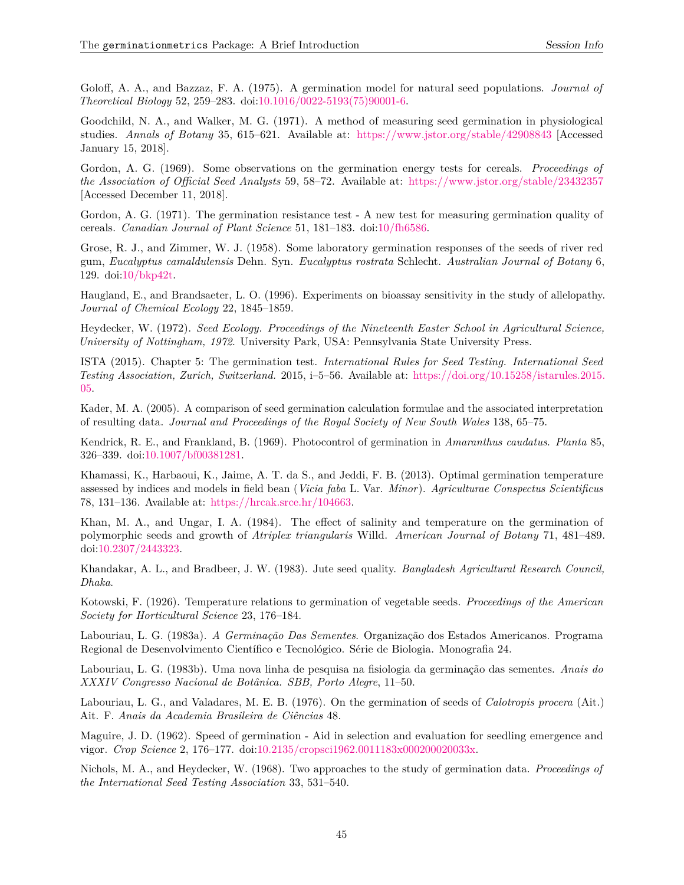<span id="page-44-16"></span><span id="page-44-15"></span><span id="page-44-13"></span><span id="page-44-5"></span><span id="page-44-4"></span><span id="page-44-1"></span>Goloff, A. A., and Bazzaz, F. A. (1975). A germination model for natural seed populations. *Journal of Theoretical Biology* 52, 259–283. doi[:10.1016/0022-5193\(75\)90001-6.](https://doi.org/10.1016/0022-5193(75)90001-6)

<span id="page-44-18"></span>Goodchild, N. A., and Walker, M. G. (1971). A method of measuring seed germination in physiological studies. *Annals of Botany* 35, 615–621. Available at: <https://www.jstor.org/stable/42908843> [Accessed January 15, 2018].

<span id="page-44-0"></span>Gordon, A. G. (1969). Some observations on the germination energy tests for cereals. *Proceedings of the Association of Official Seed Analysts* 59, 58–72. Available at: <https://www.jstor.org/stable/23432357> [Accessed December 11, 2018].

<span id="page-44-3"></span>Gordon, A. G. (1971). The germination resistance test - A new test for measuring germination quality of cereals. *Canadian Journal of Plant Science* 51, 181–183. doi[:10/fh6586.](https://doi.org/10/fh6586)

<span id="page-44-11"></span>Grose, R. J., and Zimmer, W. J. (1958). Some laboratory germination responses of the seeds of river red gum, *Eucalyptus camaldulensis* Dehn. Syn. *Eucalyptus rostrata* Schlecht. *Australian Journal of Botany* 6, 129. doi[:10/bkp42t.](https://doi.org/10/bkp42t)

<span id="page-44-14"></span>Haugland, E., and Brandsaeter, L. O. (1996). Experiments on bioassay sensitivity in the study of allelopathy. *Journal of Chemical Ecology* 22, 1845–1859.

<span id="page-44-17"></span>Heydecker, W. (1972). *Seed Ecology. Proceedings of the Nineteenth Easter School in Agricultural Science, University of Nottingham, 1972*. University Park, USA: Pennsylvania State University Press.

<span id="page-44-12"></span>ISTA (2015). Chapter 5: The germination test. *International Rules for Seed Testing. International Seed Testing Association, Zurich, Switzerland.* 2015, i–5–56. Available at: [https://doi.org/10.15258/istarules.2015.](https://doi.org/10.15258/istarules.2015.05) [05.](https://doi.org/10.15258/istarules.2015.05)

<span id="page-44-8"></span>Kader, M. A. (2005). A comparison of seed germination calculation formulae and the associated interpretation of resulting data. *Journal and Proceedings of the Royal Society of New South Wales* 138, 65–75.

<span id="page-44-2"></span>Kendrick, R. E., and Frankland, B. (1969). Photocontrol of germination in *Amaranthus caudatus*. *Planta* 85, 326–339. doi[:10.1007/bf00381281.](https://doi.org/10.1007/bf00381281)

<span id="page-44-7"></span>Khamassi, K., Harbaoui, K., Jaime, A. T. da S., and Jeddi, F. B. (2013). Optimal germination temperature assessed by indices and models in field bean (*Vicia faba* L. Var. *Minor*). *Agriculturae Conspectus Scientificus* 78, 131–136. Available at: [https://hrcak.srce.hr/104663.](https://hrcak.srce.hr/104663)

<span id="page-44-10"></span><span id="page-44-6"></span>Khan, M. A., and Ungar, I. A. (1984). The effect of salinity and temperature on the germination of polymorphic seeds and growth of *Atriplex triangularis* Willd. *American Journal of Botany* 71, 481–489. doi[:10.2307/2443323.](https://doi.org/10.2307/2443323)

<span id="page-44-9"></span>Khandakar, A. L., and Bradbeer, J. W. (1983). Jute seed quality. *Bangladesh Agricultural Research Council, Dhaka*.

Kotowski, F. (1926). Temperature relations to germination of vegetable seeds. *Proceedings of the American Society for Horticultural Science* 23, 176–184.

Labouriau, L. G. (1983a). *A Germinação Das Sementes*. Organização dos Estados Americanos. Programa Regional de Desenvolvimento Científico e Tecnológico. Série de Biologia. Monografia 24.

Labouriau, L. G. (1983b). Uma nova linha de pesquisa na fisiologia da germinação das sementes. *Anais do XXXIV Congresso Nacional de Botânica. SBB, Porto Alegre*, 11–50.

Labouriau, L. G., and Valadares, M. E. B. (1976). On the germination of seeds of *Calotropis procera* (Ait.) Ait. F. *Anais da Academia Brasileira de Ciências* 48.

Maguire, J. D. (1962). Speed of germination - Aid in selection and evaluation for seedling emergence and vigor. *Crop Science* 2, 176–177. doi[:10.2135/cropsci1962.0011183x000200020033x.](https://doi.org/10.2135/cropsci1962.0011183x000200020033x)

Nichols, M. A., and Heydecker, W. (1968). Two approaches to the study of germination data. *Proceedings of the International Seed Testing Association* 33, 531–540.